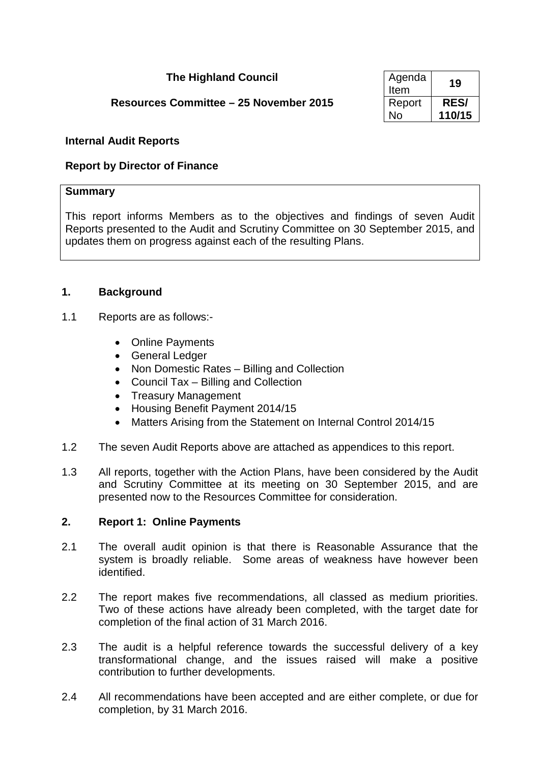# **The Highland Council**

# **Resources Committee – 25 November 2015**

| Agenda<br>Item | 19          |
|----------------|-------------|
| Report         | <b>RES/</b> |
| N٥             | 110/15      |

### **Internal Audit Reports**

### **Report by Director of Finance**

### **Summary**

This report informs Members as to the objectives and findings of seven Audit Reports presented to the Audit and Scrutiny Committee on 30 September 2015, and updates them on progress against each of the resulting Plans.

### **1. Background**

- 1.1 Reports are as follows:-
	- Online Payments
	- General Ledger
	- Non Domestic Rates Billing and Collection
	- Council Tax Billing and Collection
	- Treasury Management
	- Housing Benefit Payment 2014/15
	- Matters Arising from the Statement on Internal Control 2014/15
- 1.2 The seven Audit Reports above are attached as appendices to this report.
- 1.3 All reports, together with the Action Plans, have been considered by the Audit and Scrutiny Committee at its meeting on 30 September 2015, and are presented now to the Resources Committee for consideration.

### **2. Report 1: Online Payments**

- 2.1 The overall audit opinion is that there is Reasonable Assurance that the system is broadly reliable. Some areas of weakness have however been identified.
- 2.2 The report makes five recommendations, all classed as medium priorities. Two of these actions have already been completed, with the target date for completion of the final action of 31 March 2016.
- 2.3 The audit is a helpful reference towards the successful delivery of a key transformational change, and the issues raised will make a positive contribution to further developments.
- 2.4 All recommendations have been accepted and are either complete, or due for completion, by 31 March 2016.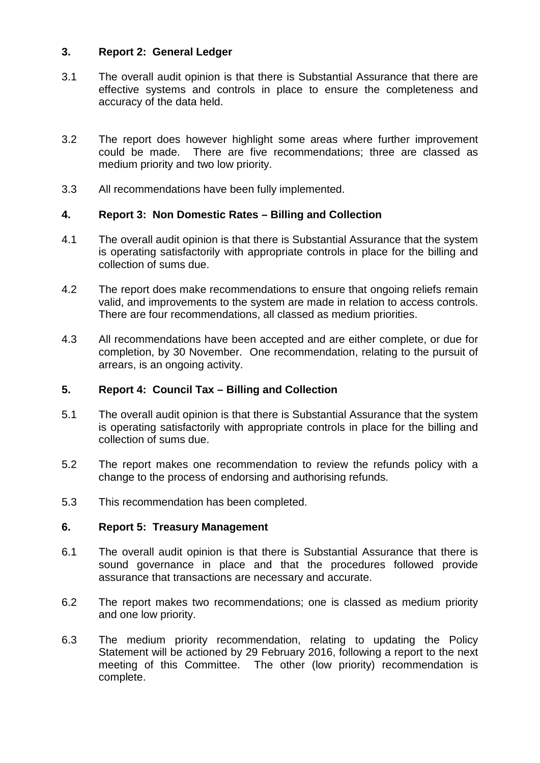### **3. Report 2: General Ledger**

- 3.1 The overall audit opinion is that there is Substantial Assurance that there are effective systems and controls in place to ensure the completeness and accuracy of the data held.
- 3.2 The report does however highlight some areas where further improvement could be made. There are five recommendations; three are classed as medium priority and two low priority.
- 3.3 All recommendations have been fully implemented.

# **4. Report 3: Non Domestic Rates – Billing and Collection**

- 4.1 The overall audit opinion is that there is Substantial Assurance that the system is operating satisfactorily with appropriate controls in place for the billing and collection of sums due.
- 4.2 The report does make recommendations to ensure that ongoing reliefs remain valid, and improvements to the system are made in relation to access controls. There are four recommendations, all classed as medium priorities.
- 4.3 All recommendations have been accepted and are either complete, or due for completion, by 30 November. One recommendation, relating to the pursuit of arrears, is an ongoing activity.

# **5. Report 4: Council Tax – Billing and Collection**

- 5.1 The overall audit opinion is that there is Substantial Assurance that the system is operating satisfactorily with appropriate controls in place for the billing and collection of sums due.
- 5.2 The report makes one recommendation to review the refunds policy with a change to the process of endorsing and authorising refunds.
- 5.3 This recommendation has been completed.

# **6. Report 5: Treasury Management**

- 6.1 The overall audit opinion is that there is Substantial Assurance that there is sound governance in place and that the procedures followed provide assurance that transactions are necessary and accurate.
- 6.2 The report makes two recommendations; one is classed as medium priority and one low priority.
- 6.3 The medium priority recommendation, relating to updating the Policy Statement will be actioned by 29 February 2016, following a report to the next meeting of this Committee. The other (low priority) recommendation is complete.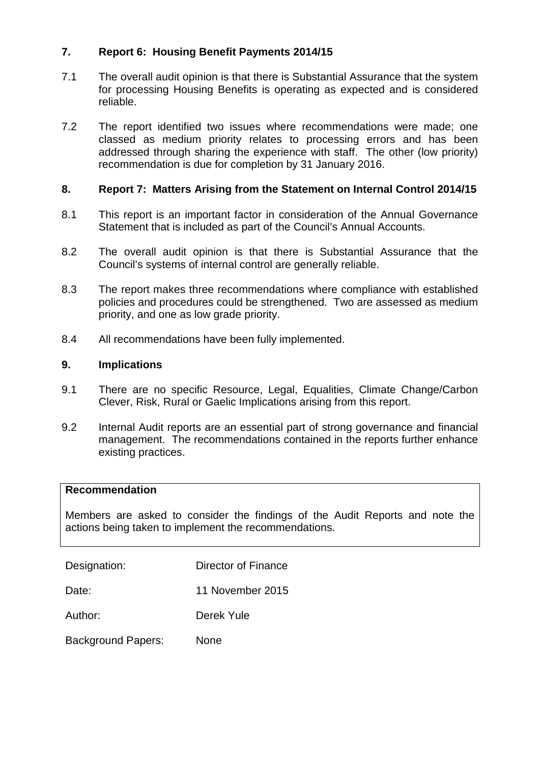### **7. Report 6: Housing Benefit Payments 2014/15**

- 7.1 The overall audit opinion is that there is Substantial Assurance that the system for processing Housing Benefits is operating as expected and is considered reliable.
- 7.2 The report identified two issues where recommendations were made; one classed as medium priority relates to processing errors and has been addressed through sharing the experience with staff. The other (low priority) recommendation is due for completion by 31 January 2016.

### **8. Report 7: Matters Arising from the Statement on Internal Control 2014/15**

- 8.1 This report is an important factor in consideration of the Annual Governance Statement that is included as part of the Council's Annual Accounts.
- 8.2 The overall audit opinion is that there is Substantial Assurance that the Council's systems of internal control are generally reliable.
- 8.3 The report makes three recommendations where compliance with established policies and procedures could be strengthened. Two are assessed as medium priority, and one as low grade priority.
- 8.4 All recommendations have been fully implemented.

### **9. Implications**

- 9.1 There are no specific Resource, Legal, Equalities, Climate Change/Carbon Clever, Risk, Rural or Gaelic Implications arising from this report.
- 9.2 Internal Audit reports are an essential part of strong governance and financial management. The recommendations contained in the reports further enhance existing practices.

### **Recommendation**

Members are asked to consider the findings of the Audit Reports and note the actions being taken to implement the recommendations.

Designation: Director of Finance

Date: 11 November 2015

Author: Derek Yule

Background Papers: None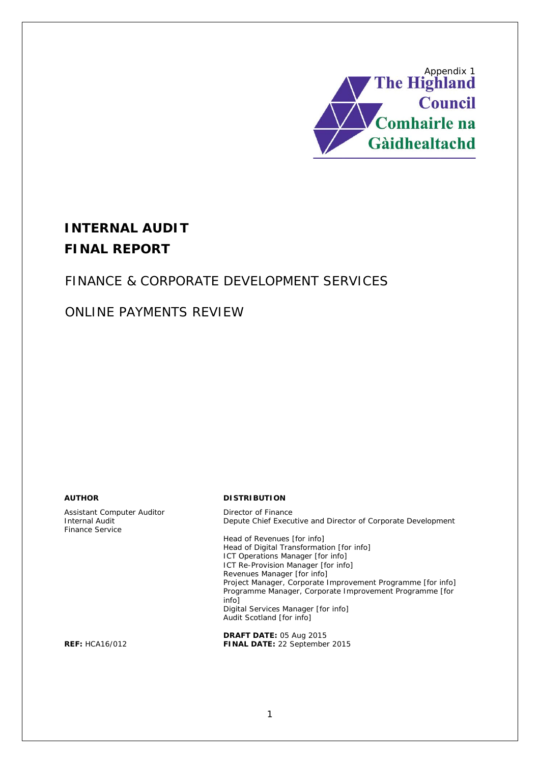<span id="page-3-0"></span>

# **INTERNAL AUDIT FINAL REPORT**

# FINANCE & CORPORATE DEVELOPMENT SERVICES

# ONLINE PAYMENTS REVIEW

Assistant Computer Auditor **Director of Finance**<br> **Internal Audit** Depute Chief Execu Finance Service

#### **AUTHOR DISTRIBUTION**

Depute Chief Executive and Director of Corporate Development

Head of Revenues [for info] Head of Digital Transformation [for info] ICT Operations Manager [for info] ICT Re-Provision Manager [for info] Revenues Manager [for info] Project Manager, Corporate Improvement Programme [for info] Programme Manager, Corporate Improvement Programme [for info] Digital Services Manager [for info] Audit Scotland [for info]

**DRAFT DATE:** 05 Aug 2015 **REF:** HCA16/012 **FINAL DATE:** 22 September 2015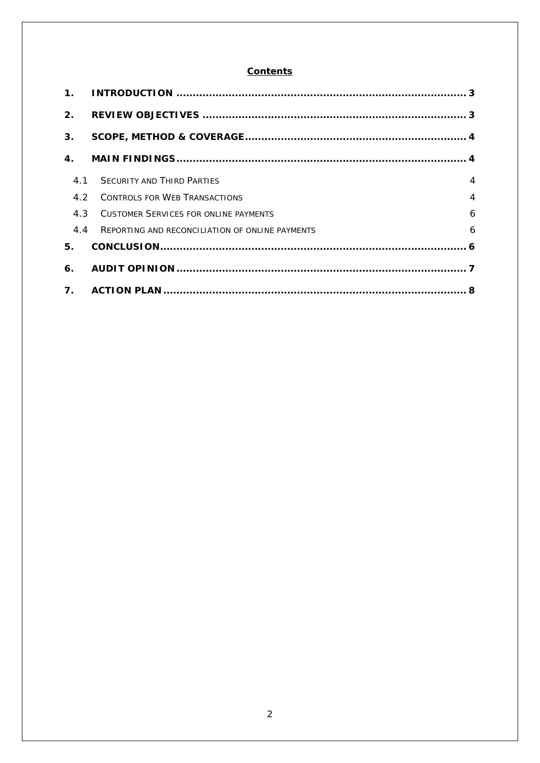# **Contents**

| $\mathbf 1$ .  |                                                 |   |
|----------------|-------------------------------------------------|---|
| 2.             |                                                 |   |
| 3 <sub>1</sub> |                                                 |   |
| 4.             |                                                 |   |
| 4.1            | <b>SECURITY AND THIRD PARTIES</b>               | 4 |
| 4.2            | <b>CONTROLS FOR WEB TRANSACTIONS</b>            | 4 |
| 4.3            | <b>CUSTOMER SERVICES FOR ONLINE PAYMENTS</b>    | 6 |
| 4.4            | REPORTING AND RECONCILIATION OF ONLINE PAYMENTS | 6 |
| 5.             |                                                 |   |
| 6.             |                                                 |   |
| $\mathbf{7}$ . |                                                 |   |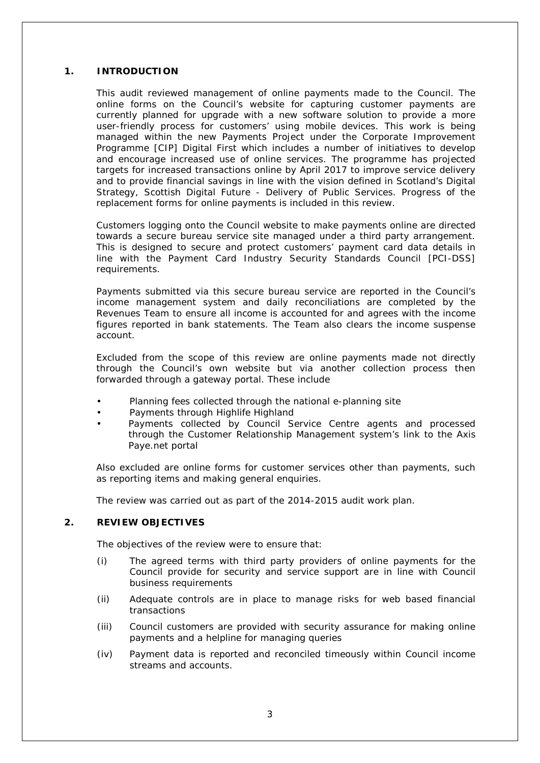#### **1. INTRODUCTION**

This audit reviewed management of online payments made to the Council. The online forms on the Council's website for capturing customer payments are currently planned for upgrade with a new software solution to provide a more user-friendly process for customers' using mobile devices. This work is being managed within the new Payments Project under the Corporate Improvement Programme [CIP] Digital First which includes a number of initiatives to develop and encourage increased use of online services. The programme has projected targets for increased transactions online by April 2017 to improve service delivery and to provide financial savings in line with the vision defined in Scotland's Digital Strategy, Scottish Digital Future - Delivery of Public Services. Progress of the replacement forms for online payments is included in this review.

Customers logging onto the Council website to make payments online are directed towards a secure bureau service site managed under a third party arrangement. This is designed to secure and protect customers' payment card data details in line with the Payment Card Industry Security Standards Council [PCI-DSS] requirements.

Payments submitted via this secure bureau service are reported in the Council's income management system and daily reconciliations are completed by the Revenues Team to ensure all income is accounted for and agrees with the income figures reported in bank statements. The Team also clears the income suspense account.

Excluded from the scope of this review are online payments made not directly through the Council's own website but via another collection process then forwarded through a gateway portal. These include

- Planning fees collected through the national e-planning site
- Payments through Highlife Highland
- Payments collected by Council Service Centre agents and processed through the Customer Relationship Management system's link to the Axis Paye.net portal

Also excluded are online forms for customer services other than payments, such as reporting items and making general enquiries.

The review was carried out as part of the 2014-2015 audit work plan.

#### **2. REVIEW OBJECTIVES**

The objectives of the review were to ensure that:

- (i) The agreed terms with third party providers of online payments for the Council provide for security and service support are in line with Council business requirements
- (ii) Adequate controls are in place to manage risks for web based financial transactions
- (iii) Council customers are provided with security assurance for making online payments and a helpline for managing queries
- (iv) Payment data is reported and reconciled timeously within Council income streams and accounts.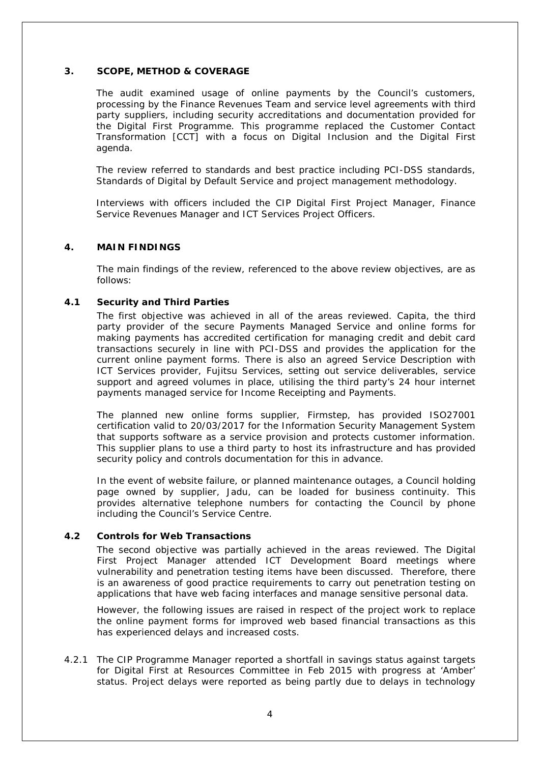#### **3. SCOPE, METHOD & COVERAGE**

The audit examined usage of online payments by the Council's customers, processing by the Finance Revenues Team and service level agreements with third party suppliers, including security accreditations and documentation provided for the Digital First Programme. This programme replaced the Customer Contact Transformation [CCT] with a focus on Digital Inclusion and the Digital First agenda.

The review referred to standards and best practice including PCI-DSS standards, Standards of Digital by Default Service and project management methodology.

Interviews with officers included the CIP Digital First Project Manager, Finance Service Revenues Manager and ICT Services Project Officers.

#### **4. MAIN FINDINGS**

The main findings of the review, referenced to the above review objectives, are as follows:

#### **4.1 Security and Third Parties**

The first objective was achieved in all of the areas reviewed. Capita, the third party provider of the secure Payments Managed Service and online forms for making payments has accredited certification for managing credit and debit card transactions securely in line with PCI-DSS and provides the application for the current online payment forms. There is also an agreed Service Description with ICT Services provider, Fujitsu Services, setting out service deliverables, service support and agreed volumes in place, utilising the third party's 24 hour internet payments managed service for Income Receipting and Payments.

The planned new online forms supplier, Firmstep, has provided ISO27001 certification valid to 20/03/2017 for the Information Security Management System that supports software as a service provision and protects customer information. This supplier plans to use a third party to host its infrastructure and has provided security policy and controls documentation for this in advance.

In the event of website failure, or planned maintenance outages, a Council holding page owned by supplier, Jadu, can be loaded for business continuity. This provides alternative telephone numbers for contacting the Council by phone including the Council's Service Centre.

#### **4.2 Controls for Web Transactions**

The second objective was partially achieved in the areas reviewed. The Digital First Project Manager attended ICT Development Board meetings where vulnerability and penetration testing items have been discussed. Therefore, there is an awareness of good practice requirements to carry out penetration testing on applications that have web facing interfaces and manage sensitive personal data.

However, the following issues are raised in respect of the project work to replace the online payment forms for improved web based financial transactions as this has experienced delays and increased costs.

4.2.1 The CIP Programme Manager reported a shortfall in savings status against targets for Digital First at Resources Committee in Feb 2015 with progress at 'Amber' status. Project delays were reported as being partly due to delays in technology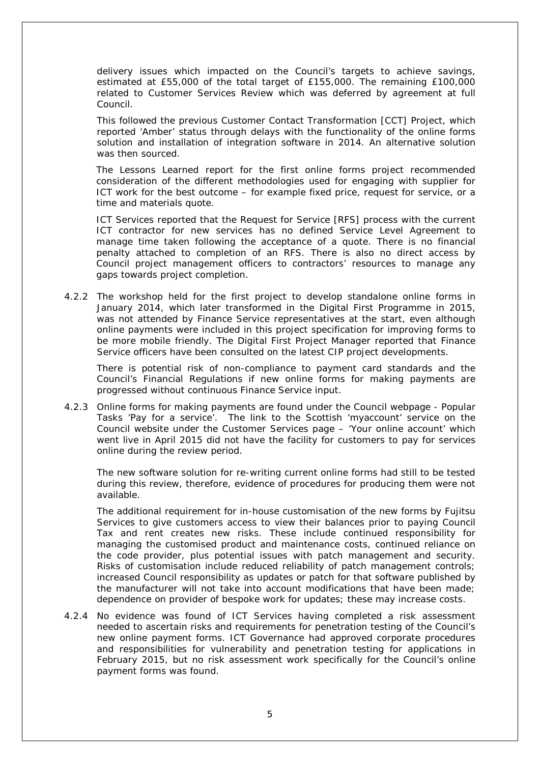delivery issues which impacted on the Council's targets to achieve savings, estimated at £55,000 of the total target of £155,000. The remaining £100,000 related to Customer Services Review which was deferred by agreement at full Council.

This followed the previous Customer Contact Transformation [CCT] Project, which reported 'Amber' status through delays with the functionality of the online forms solution and installation of integration software in 2014. An alternative solution was then sourced.

The Lessons Learned report for the first online forms project recommended consideration of the different methodologies used for engaging with supplier for ICT work for the best outcome – for example fixed price, request for service, or a time and materials quote.

ICT Services reported that the Request for Service [RFS] process with the current ICT contractor for new services has no defined Service Level Agreement to manage time taken following the acceptance of a quote. There is no financial penalty attached to completion of an RFS. There is also no direct access by Council project management officers to contractors' resources to manage any gaps towards project completion.

4.2.2 The workshop held for the first project to develop standalone online forms in January 2014, which later transformed in the Digital First Programme in 2015, was not attended by Finance Service representatives at the start, even although online payments were included in this project specification for improving forms to be more mobile friendly. The Digital First Project Manager reported that Finance Service officers have been consulted on the latest CIP project developments.

There is potential risk of non-compliance to payment card standards and the Council's Financial Regulations if new online forms for making payments are progressed without continuous Finance Service input.

4.2.3 Online forms for making payments are found under the Council webpage - Popular Tasks 'Pay for a service'. The link to the Scottish 'myaccount' service on the Council website under the Customer Services page – 'Your online account' which went live in April 2015 did not have the facility for customers to pay for services online during the review period.

The new software solution for re-writing current online forms had still to be tested during this review, therefore, evidence of procedures for producing them were not available.

The additional requirement for in-house customisation of the new forms by Fujitsu Services to give customers access to view their balances prior to paying Council Tax and rent creates new risks. These include continued responsibility for managing the customised product and maintenance costs, continued reliance on the code provider, plus potential issues with patch management and security. Risks of customisation include reduced reliability of patch management controls; increased Council responsibility as updates or patch for that software published by the manufacturer will not take into account modifications that have been made; dependence on provider of bespoke work for updates; these may increase costs.

4.2.4 No evidence was found of ICT Services having completed a risk assessment needed to ascertain risks and requirements for penetration testing of the Council's new online payment forms. ICT Governance had approved corporate procedures and responsibilities for vulnerability and penetration testing for applications in February 2015, but no risk assessment work specifically for the Council's online payment forms was found.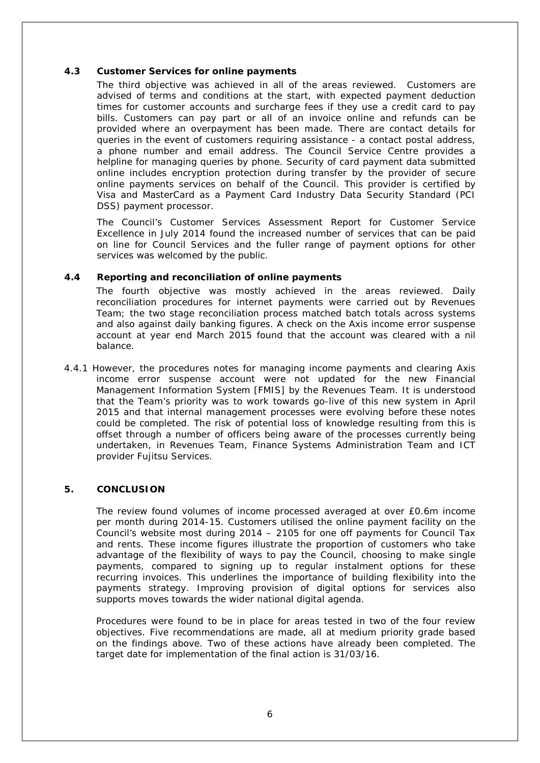#### **4.3 Customer Services for online payments**

The third objective was achieved in all of the areas reviewed. Customers are advised of terms and conditions at the start, with expected payment deduction times for customer accounts and surcharge fees if they use a credit card to pay bills. Customers can pay part or all of an invoice online and refunds can be provided where an overpayment has been made. There are contact details for queries in the event of customers requiring assistance - a contact postal address, a phone number and email address. The Council Service Centre provides a helpline for managing queries by phone. Security of card payment data submitted online includes encryption protection during transfer by the provider of secure online payments services on behalf of the Council. This provider is certified by Visa and MasterCard as a Payment Card Industry Data Security Standard (PCI DSS) payment processor.

The Council's Customer Services Assessment Report for Customer Service Excellence in July 2014 found the increased number of services that can be paid on line for Council Services and the fuller range of payment options for other services was welcomed by the public.

#### **4.4 Reporting and reconciliation of online payments**

The fourth objective was mostly achieved in the areas reviewed. Daily reconciliation procedures for internet payments were carried out by Revenues Team; the two stage reconciliation process matched batch totals across systems and also against daily banking figures. A check on the Axis income error suspense account at year end March 2015 found that the account was cleared with a nil balance.

4.4.1 However, the procedures notes for managing income payments and clearing Axis income error suspense account were not updated for the new Financial Management Information System [FMIS] by the Revenues Team. It is understood that the Team's priority was to work towards go-live of this new system in April 2015 and that internal management processes were evolving before these notes could be completed. The risk of potential loss of knowledge resulting from this is offset through a number of officers being aware of the processes currently being undertaken, in Revenues Team, Finance Systems Administration Team and ICT provider Fujitsu Services.

#### **5. CONCLUSION**

The review found volumes of income processed averaged at over £0.6m income per month during 2014-15. Customers utilised the online payment facility on the Council's website most during 2014 – 2105 for one off payments for Council Tax and rents. These income figures illustrate the proportion of customers who take advantage of the flexibility of ways to pay the Council, choosing to make single payments, compared to signing up to regular instalment options for these recurring invoices. This underlines the importance of building flexibility into the payments strategy. Improving provision of digital options for services also supports moves towards the wider national digital agenda.

Procedures were found to be in place for areas tested in two of the four review objectives. Five recommendations are made, all at medium priority grade based on the findings above. Two of these actions have already been completed. The target date for implementation of the final action is 31/03/16.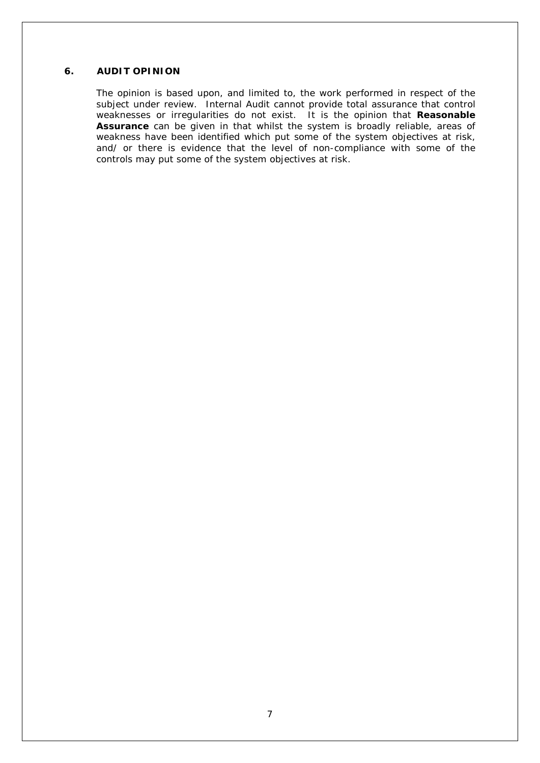#### **6. AUDIT OPINION**

The opinion is based upon, and limited to, the work performed in respect of the subject under review. Internal Audit cannot provide total assurance that control weaknesses or irregularities do not exist. It is the opinion that **Reasonable Assurance** can be given in that whilst the system is broadly reliable, areas of weakness have been identified which put some of the system objectives at risk, and/ or there is evidence that the level of non-compliance with some of the controls may put some of the system objectives at risk.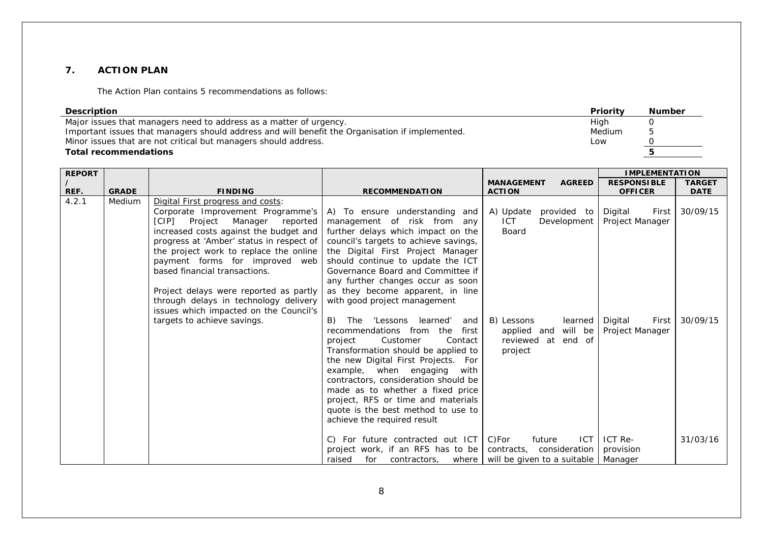#### **7. ACTION PLAN**

The Action Plan contains 5 recommendations as follows:

| <b>Description</b>                                                                              | Priority | <b>Number</b> |
|-------------------------------------------------------------------------------------------------|----------|---------------|
| Major issues that managers need to address as a matter of urgency.                              | High     |               |
| Important issues that managers should address and will benefit the Organisation if implemented. | Medium   | ь.            |
| Minor issues that are not critical but managers should address.                                 | Low      |               |
| <b>Total recommendations</b>                                                                    |          |               |

| <b>REPORT</b> |              |                                                                                                                                                                                                                                                                                                                                                                                                                                                                         |                                                                                                                                                                                                                                                                                                                                                                                                                                                                                                                                                                                                                                                                                                                                                                                             |                                                                                                                                                                   | <b>IMPLEMENTATION</b>                                                                 |                                  |
|---------------|--------------|-------------------------------------------------------------------------------------------------------------------------------------------------------------------------------------------------------------------------------------------------------------------------------------------------------------------------------------------------------------------------------------------------------------------------------------------------------------------------|---------------------------------------------------------------------------------------------------------------------------------------------------------------------------------------------------------------------------------------------------------------------------------------------------------------------------------------------------------------------------------------------------------------------------------------------------------------------------------------------------------------------------------------------------------------------------------------------------------------------------------------------------------------------------------------------------------------------------------------------------------------------------------------------|-------------------------------------------------------------------------------------------------------------------------------------------------------------------|---------------------------------------------------------------------------------------|----------------------------------|
|               |              |                                                                                                                                                                                                                                                                                                                                                                                                                                                                         |                                                                                                                                                                                                                                                                                                                                                                                                                                                                                                                                                                                                                                                                                                                                                                                             | <b>AGREED</b><br><b>MANAGEMENT</b>                                                                                                                                | <b>RESPONSIBLE</b>                                                                    | <b>TARGET</b>                    |
| REF.          | <b>GRADE</b> | <b>FINDING</b>                                                                                                                                                                                                                                                                                                                                                                                                                                                          | <b>RECOMMENDATION</b>                                                                                                                                                                                                                                                                                                                                                                                                                                                                                                                                                                                                                                                                                                                                                                       | <b>ACTION</b>                                                                                                                                                     | <b>OFFICER</b>                                                                        | <b>DATE</b>                      |
| 4.2.1         | Medium       | Digital First progress and costs:<br>Corporate Improvement Programme's<br>[CIP] Project Manager reported<br>increased costs against the budget and<br>progress at 'Amber' status in respect of<br>the project work to replace the online<br>payment forms for improved web<br>based financial transactions.<br>Project delays were reported as partly<br>through delays in technology delivery<br>issues which impacted on the Council's<br>targets to achieve savings. | A) To ensure understanding and<br>management of risk from any<br>further delays which impact on the<br>council's targets to achieve savings,<br>the Digital First Project Manager<br>should continue to update the ICT<br>Governance Board and Committee if<br>any further changes occur as soon<br>as they become apparent, in line<br>with good project management<br>B)<br>'Lessons learned'<br>The<br>and<br>recommendations from the<br>first<br>Customer<br>Contact<br>project<br>Transformation should be applied to<br>the new Digital First Projects. For<br>example, when engaging<br>with<br>contractors, consideration should be<br>made as to whether a fixed price<br>project, RFS or time and materials<br>quote is the best method to use to<br>achieve the required result | provided to<br>A) Update<br>Development<br>ICT.<br>Board<br>B) Lessons<br>learned<br>applied and will be<br>reviewed at end of<br>project<br><b>ICT</b><br>future | Digital<br>First<br>Project Manager<br>Digital<br>First<br>Project Manager<br>ICT Re- | 30/09/15<br>30/09/15<br>31/03/16 |
|               |              |                                                                                                                                                                                                                                                                                                                                                                                                                                                                         | C) For future contracted out ICT<br>project work, if an RFS has to be                                                                                                                                                                                                                                                                                                                                                                                                                                                                                                                                                                                                                                                                                                                       | C)For<br>contracts, consideration                                                                                                                                 | provision                                                                             |                                  |
|               |              |                                                                                                                                                                                                                                                                                                                                                                                                                                                                         | for contractors, where   will be given to a suitable<br>raised                                                                                                                                                                                                                                                                                                                                                                                                                                                                                                                                                                                                                                                                                                                              |                                                                                                                                                                   | Manager                                                                               |                                  |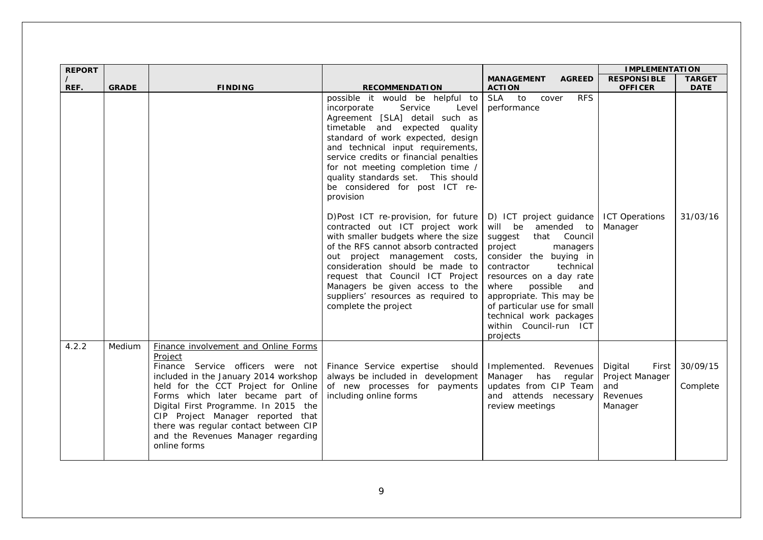| <b>REPORT</b> |              |                                                                                                                                                                                                                                                                                                                                                                                      |                                                                                                                                                                                                                                                                                                                                                                                                                                                                                                                                                                                                                                                                                                                                                                                  |                                                                                                                                                                                                                                                                                                                                                                                                                | <b>IMPLEMENTATION</b>                                             |                         |
|---------------|--------------|--------------------------------------------------------------------------------------------------------------------------------------------------------------------------------------------------------------------------------------------------------------------------------------------------------------------------------------------------------------------------------------|----------------------------------------------------------------------------------------------------------------------------------------------------------------------------------------------------------------------------------------------------------------------------------------------------------------------------------------------------------------------------------------------------------------------------------------------------------------------------------------------------------------------------------------------------------------------------------------------------------------------------------------------------------------------------------------------------------------------------------------------------------------------------------|----------------------------------------------------------------------------------------------------------------------------------------------------------------------------------------------------------------------------------------------------------------------------------------------------------------------------------------------------------------------------------------------------------------|-------------------------------------------------------------------|-------------------------|
| $\prime$      |              |                                                                                                                                                                                                                                                                                                                                                                                      |                                                                                                                                                                                                                                                                                                                                                                                                                                                                                                                                                                                                                                                                                                                                                                                  | <b>MANAGEMENT</b><br><b>AGREED</b>                                                                                                                                                                                                                                                                                                                                                                             | <b>RESPONSIBLE</b>                                                | <b>TARGET</b>           |
| REF.          | <b>GRADE</b> | <b>FINDING</b>                                                                                                                                                                                                                                                                                                                                                                       | <b>RECOMMENDATION</b><br>possible it would be helpful to<br>Service<br>incorporate<br>Level<br>Agreement [SLA] detail such as<br>timetable and expected quality<br>standard of work expected, design<br>and technical input requirements,<br>service credits or financial penalties<br>for not meeting completion time /<br>quality standards set.  This should<br>be considered for post ICT re-<br>provision<br>D)Post ICT re-provision, for future<br>contracted out ICT project work<br>with smaller budgets where the size<br>of the RFS cannot absorb contracted<br>out project management costs,<br>consideration should be made to<br>request that Council ICT Project<br>Managers be given access to the<br>suppliers' resources as required to<br>complete the project | <b>ACTION</b><br><b>RFS</b><br>SLA to<br>cover<br>performance<br>D) ICT project guidance<br>amended to<br>will be<br>Council<br>suggest<br>that<br>project<br>managers<br>consider the buying in<br>contractor<br>technical<br>resources on a day rate<br>where<br>possible<br>and<br>appropriate. This may be<br>of particular use for small<br>technical work packages<br>within Council-run ICT<br>projects | <b>OFFICER</b><br><b>ICT Operations</b><br>Manager                | <b>DATE</b><br>31/03/16 |
| 4.2.2         | Medium       | Finance involvement and Online Forms<br>Project<br>Finance Service officers were not<br>included in the January 2014 workshop<br>held for the CCT Project for Online<br>Forms which later became part of<br>Digital First Programme. In 2015 the<br>CIP Project Manager reported that<br>there was regular contact between CIP<br>and the Revenues Manager regarding<br>online forms | Finance Service expertise<br>should<br>always be included in development<br>of new processes for payments<br>including online forms                                                                                                                                                                                                                                                                                                                                                                                                                                                                                                                                                                                                                                              | Implemented. Revenues<br>Manager has regular<br>updates from CIP Team<br>and attends necessary<br>review meetings                                                                                                                                                                                                                                                                                              | Digital<br>First<br>Project Manager<br>and<br>Revenues<br>Manager | 30/09/15<br>Complete    |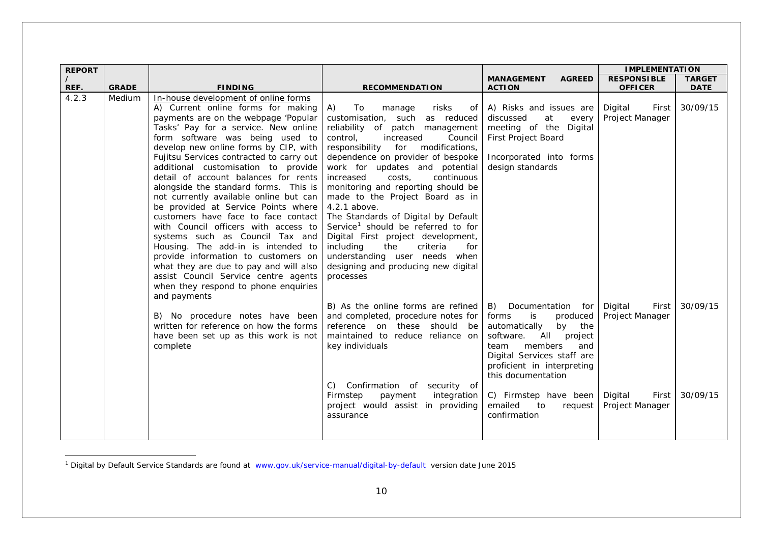<span id="page-12-0"></span>

| <b>REPORT</b> |              |                                                                                                                                                                                                                                                                                                                                                                                                                                                                                                                                                                                                                                                                                                                                                                                                                                      |                                                                                                                                                                                                                                                                                                                                                                                                                                                                                                                                                                                                                                                          |                                                                                                                                                                                                                                                                                               | <b>IMPLEMENTATION</b>                                                      |                      |
|---------------|--------------|--------------------------------------------------------------------------------------------------------------------------------------------------------------------------------------------------------------------------------------------------------------------------------------------------------------------------------------------------------------------------------------------------------------------------------------------------------------------------------------------------------------------------------------------------------------------------------------------------------------------------------------------------------------------------------------------------------------------------------------------------------------------------------------------------------------------------------------|----------------------------------------------------------------------------------------------------------------------------------------------------------------------------------------------------------------------------------------------------------------------------------------------------------------------------------------------------------------------------------------------------------------------------------------------------------------------------------------------------------------------------------------------------------------------------------------------------------------------------------------------------------|-----------------------------------------------------------------------------------------------------------------------------------------------------------------------------------------------------------------------------------------------------------------------------------------------|----------------------------------------------------------------------------|----------------------|
|               |              |                                                                                                                                                                                                                                                                                                                                                                                                                                                                                                                                                                                                                                                                                                                                                                                                                                      |                                                                                                                                                                                                                                                                                                                                                                                                                                                                                                                                                                                                                                                          | <b>MANAGEMENT</b><br><b>AGREED</b>                                                                                                                                                                                                                                                            | <b>RESPONSIBLE</b>                                                         | <b>TARGET</b>        |
| REF.          | <b>GRADE</b> | <b>FINDING</b>                                                                                                                                                                                                                                                                                                                                                                                                                                                                                                                                                                                                                                                                                                                                                                                                                       | <b>RECOMMENDATION</b>                                                                                                                                                                                                                                                                                                                                                                                                                                                                                                                                                                                                                                    | <b>ACTION</b>                                                                                                                                                                                                                                                                                 | <b>OFFICER</b>                                                             | <b>DATE</b>          |
| 4.2.3         | Medium       | In-house development of online forms<br>A) Current online forms for making<br>payments are on the webpage 'Popular<br>Tasks' Pay for a service. New online<br>form software was being used to<br>develop new online forms by CIP, with<br>Fujitsu Services contracted to carry out<br>additional customisation to provide<br>detail of account balances for rents<br>alongside the standard forms. This is<br>not currently available online but can<br>be provided at Service Points where<br>customers have face to face contact<br>with Council officers with access to<br>systems such as Council Tax and<br>Housing. The add-in is intended to<br>provide information to customers on<br>what they are due to pay and will also<br>assist Council Service centre agents<br>when they respond to phone enquiries<br>and payments | A)<br>To<br>risks<br>manage<br>of<br>customisation, such<br>as reduced<br>reliability of patch management<br>control,<br>increased<br>Council<br>modifications,<br>responsibility<br>for<br>dependence on provider of bespoke<br>work for updates and potential<br>continuous<br>increased<br>costs,<br>monitoring and reporting should be<br>made to the Project Board as in<br>4.2.1 above.<br>The Standards of Digital by Default<br>Service <sup>1</sup> should be referred to for<br>Digital First project development,<br>including<br>the<br>criteria<br>for<br>understanding user needs when<br>designing and producing new digital<br>processes | A) Risks and issues are<br>discussed<br>at<br>every<br>meeting of the Digital<br>First Project Board<br>Incorporated into forms<br>design standards                                                                                                                                           | Digital<br>First<br>Project Manager                                        | 30/09/15             |
|               |              | B) No procedure notes have been<br>written for reference on how the forms<br>have been set up as this work is not<br>complete                                                                                                                                                                                                                                                                                                                                                                                                                                                                                                                                                                                                                                                                                                        | B) As the online forms are refined<br>and completed, procedure notes for<br>reference on these should be<br>maintained to reduce reliance on<br>key individuals<br>Confirmation of security of<br>C)<br>integration<br>Firmstep<br>payment<br>project would assist in providing<br>assurance                                                                                                                                                                                                                                                                                                                                                             | B) Documentation for<br>produced<br>forms<br>is<br>automatically<br>by<br>the<br>software.<br>All<br>project<br>members<br>and<br>team<br>Digital Services staff are<br>proficient in interpreting<br>this documentation<br>C) Firmstep have been<br>emailed<br>to<br>request<br>confirmation | Digital<br>First<br>Project Manager<br>Digital<br>First<br>Project Manager | 30/09/15<br>30/09/15 |
|               |              |                                                                                                                                                                                                                                                                                                                                                                                                                                                                                                                                                                                                                                                                                                                                                                                                                                      |                                                                                                                                                                                                                                                                                                                                                                                                                                                                                                                                                                                                                                                          |                                                                                                                                                                                                                                                                                               |                                                                            |                      |

<sup>&</sup>lt;sup>1</sup> Digital by Default Service Standards are found at [www.gov.uk/service-manual/digital-by-default](http://www.gov.uk/service-manual/digital-by-default) version date June 2015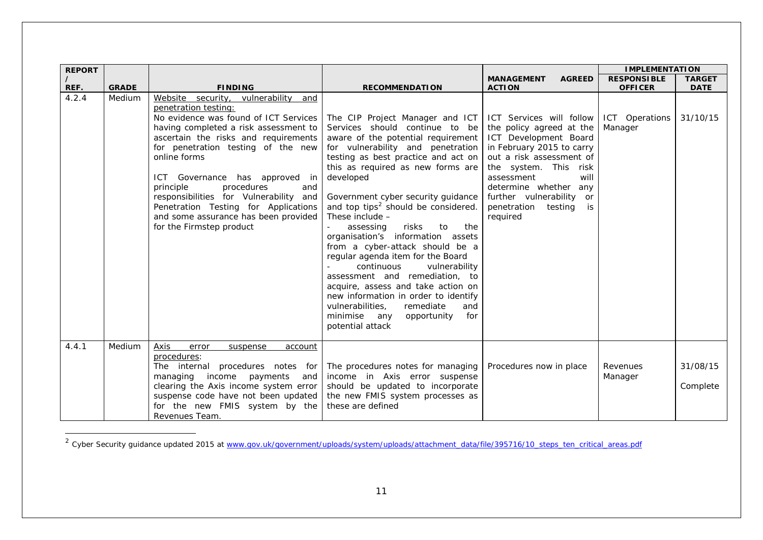| <b>REPORT</b>    |              |                                                                                                                                                                                                                                                                                                                                                                                                                                                                                                                                    |                                                                                                                                                                                                                                                                                                                                                                                                                                                                                                                                                                                                                                                                                                                                          |                                                                                                                                                                                                                                                                             | <b>IMPLEMENTATION</b>                |                         |
|------------------|--------------|------------------------------------------------------------------------------------------------------------------------------------------------------------------------------------------------------------------------------------------------------------------------------------------------------------------------------------------------------------------------------------------------------------------------------------------------------------------------------------------------------------------------------------|------------------------------------------------------------------------------------------------------------------------------------------------------------------------------------------------------------------------------------------------------------------------------------------------------------------------------------------------------------------------------------------------------------------------------------------------------------------------------------------------------------------------------------------------------------------------------------------------------------------------------------------------------------------------------------------------------------------------------------------|-----------------------------------------------------------------------------------------------------------------------------------------------------------------------------------------------------------------------------------------------------------------------------|--------------------------------------|-------------------------|
| $\prime$<br>REF. | <b>GRADE</b> | <b>FINDING</b>                                                                                                                                                                                                                                                                                                                                                                                                                                                                                                                     |                                                                                                                                                                                                                                                                                                                                                                                                                                                                                                                                                                                                                                                                                                                                          | <b>AGREED</b><br><b>MANAGEMENT</b>                                                                                                                                                                                                                                          | <b>RESPONSIBLE</b><br><b>OFFICER</b> | <b>TARGET</b>           |
| 4.2.4            | Medium       | Website security, vulnerability and<br>penetration testing:<br>No evidence was found of ICT Services   The CIP Project Manager and ICT   ICT Services will follow<br>having completed a risk assessment to<br>ascertain the risks and requirements<br>for penetration testing of the new<br>online forms<br>ICT Governance has approved in<br>procedures<br>principle<br>and<br>responsibilities for Vulnerability and<br>Penetration Testing for Applications<br>and some assurance has been provided<br>for the Firmstep product | <b>RECOMMENDATION</b><br>Services should continue to be<br>aware of the potential requirement<br>for vulnerability and penetration<br>testing as best practice and act on<br>this as required as new forms are<br>developed<br>Government cyber security guidance<br>and top tips <sup>2</sup> should be considered.<br>These include -<br>assessing<br>risks<br>to<br>the<br>organisation's information assets<br>from a cyber-attack should be a<br>regular agenda item for the Board<br>continuous<br>vulnerability<br>assessment and remediation, to<br>acquire, assess and take action on<br>new information in order to identify<br>vulnerabilities,<br>remediate<br>and<br>minimise any<br>opportunity<br>for<br>potential attack | <b>ACTION</b><br>the policy agreed at the<br>ICT Development Board<br>in February 2015 to carry<br>out a risk assessment of<br>the system. This risk<br>assessment<br>will<br>determine whether any<br>further vulnerability<br>or<br>penetration testing<br>is<br>required | ICT Operations<br>Manager            | <b>DATE</b><br>31/10/15 |
| 4.4.1            | Medium       | Axis<br>error<br>suspense<br>account<br>procedures:<br>The internal procedures notes for<br>managing income payments<br>and<br>clearing the Axis income system error<br>suspense code have not been updated<br>for the new FMIS system by the<br>Revenues Team.                                                                                                                                                                                                                                                                    | The procedures notes for managing<br>income in Axis error suspense<br>should be updated to incorporate<br>the new FMIS system processes as<br>these are defined                                                                                                                                                                                                                                                                                                                                                                                                                                                                                                                                                                          | Procedures now in place                                                                                                                                                                                                                                                     | Revenues<br>Manager                  | 31/08/15<br>Complete    |

<sup>&</sup>lt;sup>2</sup> Cyber Security guidance updated 2015 at [www.gov.uk/government/uploads/system/uploads/attachment\\_data/file/395716/10\\_steps\\_ten\\_critical\\_areas.pdf](http://www.gov.uk/government/uploads/system/uploads/attachment_data/file/395716/10_steps_ten_critical_areas.pdf)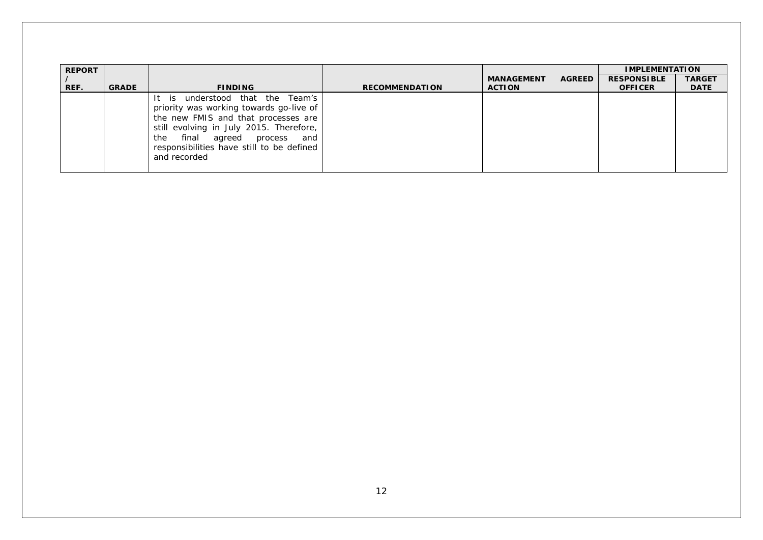| <b>REPORT</b> |              |                                                                                                                                                                                                                                                               |                       |                   |               | <b>IMPLEMENTATION</b> |               |
|---------------|--------------|---------------------------------------------------------------------------------------------------------------------------------------------------------------------------------------------------------------------------------------------------------------|-----------------------|-------------------|---------------|-----------------------|---------------|
|               |              |                                                                                                                                                                                                                                                               |                       | <b>MANAGEMENT</b> | <b>AGREED</b> | <b>RESPONSIBLE</b>    | <b>TARGET</b> |
| REF.          | <b>GRADE</b> | <b>FINDING</b>                                                                                                                                                                                                                                                | <b>RECOMMENDATION</b> | <b>ACTION</b>     |               | <b>OFFICER</b>        | <b>DATE</b>   |
|               |              | It is understood that the Team's<br>priority was working towards go-live of<br>the new FMIS and that processes are<br>still evolving in July 2015. Therefore,<br>the final agreed process<br>and<br>responsibilities have still to be defined<br>and recorded |                       |                   |               |                       |               |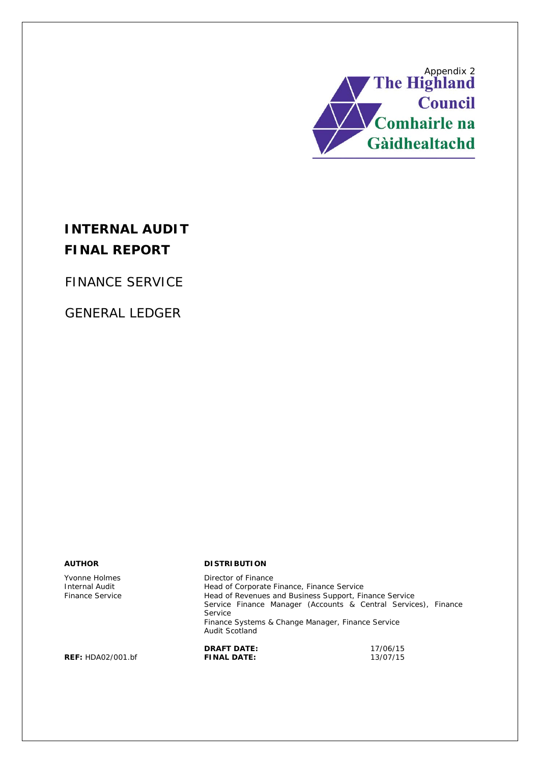

# **INTERNAL AUDIT FINAL REPORT**

FINANCE SERVICE

GENERAL LEDGER

Yvonne Holmes Internal Audit Finance Service

#### **AUTHOR DISTRIBUTION**

Director of Finance Head of Corporate Finance, Finance Service Head of Revenues and Business Support, Finance Service Service Finance Manager (Accounts & Central Services), Finance Service Finance Systems & Change Manager, Finance Service Audit Scotland **DRAFT DATE:** 17/06/15<br>**FINAL DATE:** 13/07/15

**REF: HDA02/001.bf**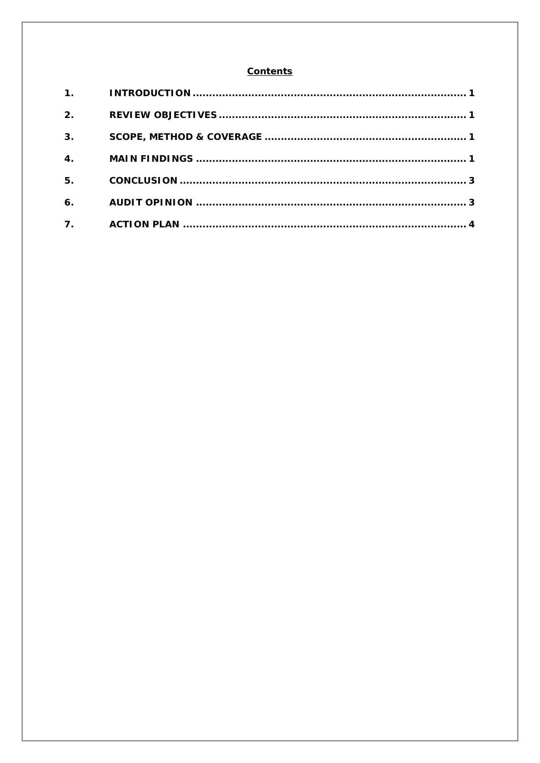#### **Contents**

| 2.                        |  |
|---------------------------|--|
| 3 <sub>1</sub>            |  |
| $\overline{\mathbf{4}}$ . |  |
| 5.                        |  |
| 6.                        |  |
| 7.                        |  |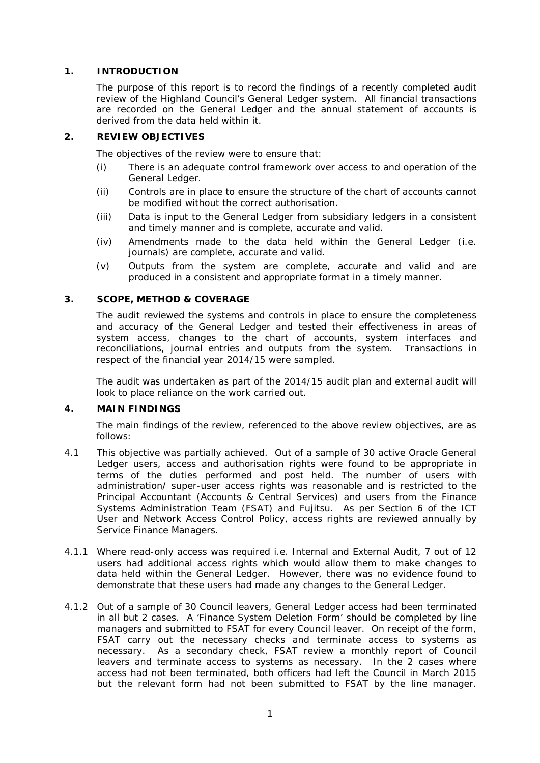#### **1. INTRODUCTION**

The purpose of this report is to record the findings of a recently completed audit review of the Highland Council's General Ledger system. All financial transactions are recorded on the General Ledger and the annual statement of accounts is derived from the data held within it.

#### **2. REVIEW OBJECTIVES**

The objectives of the review were to ensure that:

- (i) There is an adequate control framework over access to and operation of the General Ledger.
- (ii) Controls are in place to ensure the structure of the chart of accounts cannot be modified without the correct authorisation.
- (iii) Data is input to the General Ledger from subsidiary ledgers in a consistent and timely manner and is complete, accurate and valid.
- (iv) Amendments made to the data held within the General Ledger (i.e. journals) are complete, accurate and valid.
- (v) Outputs from the system are complete, accurate and valid and are produced in a consistent and appropriate format in a timely manner.

#### **3. SCOPE, METHOD & COVERAGE**

The audit reviewed the systems and controls in place to ensure the completeness and accuracy of the General Ledger and tested their effectiveness in areas of system access, changes to the chart of accounts, system interfaces and reconciliations, journal entries and outputs from the system. Transactions in respect of the financial year 2014/15 were sampled.

The audit was undertaken as part of the 2014/15 audit plan and external audit will look to place reliance on the work carried out.

#### **4. MAIN FINDINGS**

The main findings of the review, referenced to the above review objectives, are as follows:

- 4.1 This objective was partially achieved. Out of a sample of 30 active Oracle General Ledger users, access and authorisation rights were found to be appropriate in terms of the duties performed and post held. The number of users with administration/ super-user access rights was reasonable and is restricted to the Principal Accountant (Accounts & Central Services) and users from the Finance Systems Administration Team (FSAT) and Fujitsu. As per Section 6 of the ICT User and Network Access Control Policy, access rights are reviewed annually by Service Finance Managers.
- 4.1.1 Where read-only access was required i.e. Internal and External Audit, 7 out of 12 users had additional access rights which would allow them to make changes to data held within the General Ledger. However, there was no evidence found to demonstrate that these users had made any changes to the General Ledger.
- 4.1.2 Out of a sample of 30 Council leavers, General Ledger access had been terminated in all but 2 cases. A 'Finance System Deletion Form' should be completed by line managers and submitted to FSAT for every Council leaver. On receipt of the form, FSAT carry out the necessary checks and terminate access to systems as necessary. As a secondary check, FSAT review a monthly report of Council leavers and terminate access to systems as necessary. In the 2 cases where access had not been terminated, both officers had left the Council in March 2015 but the relevant form had not been submitted to FSAT by the line manager.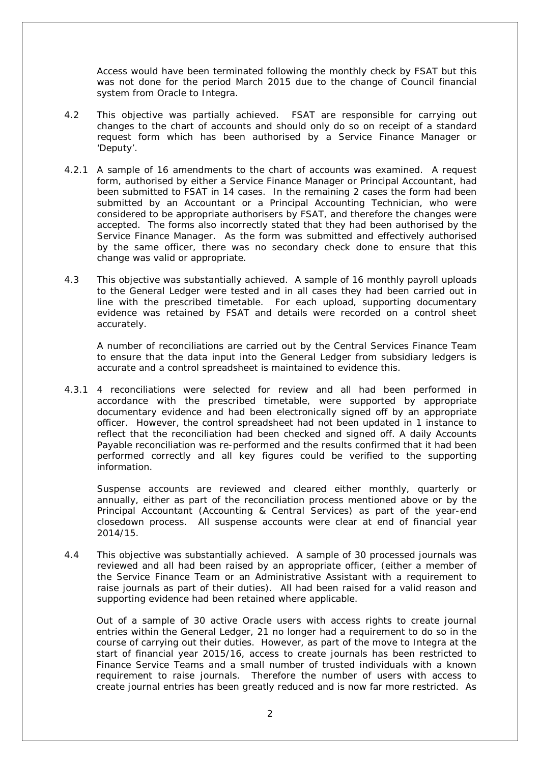Access would have been terminated following the monthly check by FSAT but this was not done for the period March 2015 due to the change of Council financial system from Oracle to Integra.

- 4.2 This objective was partially achieved. FSAT are responsible for carrying out changes to the chart of accounts and should only do so on receipt of a standard request form which has been authorised by a Service Finance Manager or 'Deputy'.
- 4.2.1 A sample of 16 amendments to the chart of accounts was examined. A request form, authorised by either a Service Finance Manager or Principal Accountant, had been submitted to FSAT in 14 cases. In the remaining 2 cases the form had been submitted by an Accountant or a Principal Accounting Technician, who were considered to be appropriate authorisers by FSAT, and therefore the changes were accepted. The forms also incorrectly stated that they had been authorised by the Service Finance Manager. As the form was submitted and effectively authorised by the same officer, there was no secondary check done to ensure that this change was valid or appropriate.
- 4.3 This objective was substantially achieved. A sample of 16 monthly payroll uploads to the General Ledger were tested and in all cases they had been carried out in line with the prescribed timetable. For each upload, supporting documentary evidence was retained by FSAT and details were recorded on a control sheet accurately.

A number of reconciliations are carried out by the Central Services Finance Team to ensure that the data input into the General Ledger from subsidiary ledgers is accurate and a control spreadsheet is maintained to evidence this.

4.3.1 4 reconciliations were selected for review and all had been performed in accordance with the prescribed timetable, were supported by appropriate documentary evidence and had been electronically signed off by an appropriate officer. However, the control spreadsheet had not been updated in 1 instance to reflect that the reconciliation had been checked and signed off. A daily Accounts Payable reconciliation was re-performed and the results confirmed that it had been performed correctly and all key figures could be verified to the supporting information.

Suspense accounts are reviewed and cleared either monthly, quarterly or annually, either as part of the reconciliation process mentioned above or by the Principal Accountant (Accounting & Central Services) as part of the year-end closedown process. All suspense accounts were clear at end of financial year 2014/15.

4.4 This objective was substantially achieved. A sample of 30 processed journals was reviewed and all had been raised by an appropriate officer, (either a member of the Service Finance Team or an Administrative Assistant with a requirement to raise journals as part of their duties). All had been raised for a valid reason and supporting evidence had been retained where applicable.

Out of a sample of 30 active Oracle users with access rights to create journal entries within the General Ledger, 21 no longer had a requirement to do so in the course of carrying out their duties. However, as part of the move to Integra at the start of financial year 2015/16, access to create journals has been restricted to Finance Service Teams and a small number of trusted individuals with a known requirement to raise journals. Therefore the number of users with access to create journal entries has been greatly reduced and is now far more restricted. As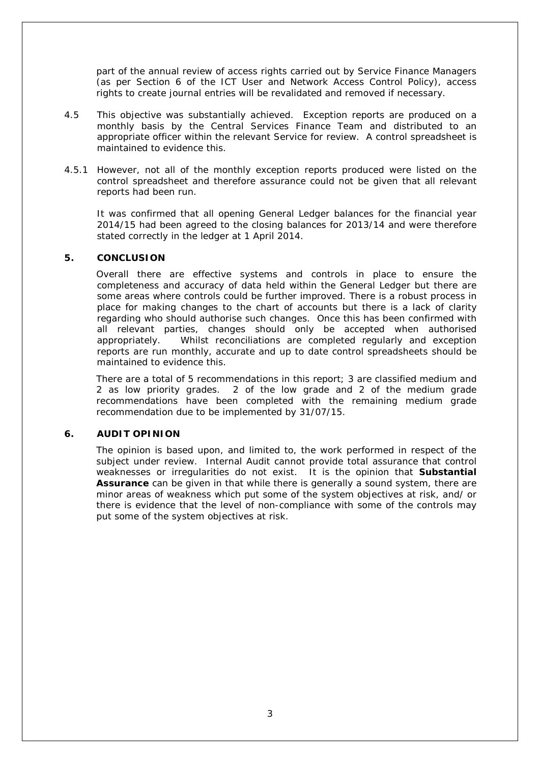part of the annual review of access rights carried out by Service Finance Managers (as per Section 6 of the ICT User and Network Access Control Policy), access rights to create journal entries will be revalidated and removed if necessary.

- 4.5 This objective was substantially achieved. Exception reports are produced on a monthly basis by the Central Services Finance Team and distributed to an appropriate officer within the relevant Service for review. A control spreadsheet is maintained to evidence this.
- 4.5.1 However, not all of the monthly exception reports produced were listed on the control spreadsheet and therefore assurance could not be given that all relevant reports had been run.

It was confirmed that all opening General Ledger balances for the financial year 2014/15 had been agreed to the closing balances for 2013/14 and were therefore stated correctly in the ledger at 1 April 2014.

#### **5. CONCLUSION**

Overall there are effective systems and controls in place to ensure the completeness and accuracy of data held within the General Ledger but there are some areas where controls could be further improved. There is a robust process in place for making changes to the chart of accounts but there is a lack of clarity regarding who should authorise such changes. Once this has been confirmed with all relevant parties, changes should only be accepted when authorised appropriately. Whilst reconciliations are completed regularly and exception reports are run monthly, accurate and up to date control spreadsheets should be maintained to evidence this.

There are a total of 5 recommendations in this report; 3 are classified medium and 2 as low priority grades. 2 of the low grade and 2 of the medium grade recommendations have been completed with the remaining medium grade recommendation due to be implemented by 31/07/15.

#### **6. AUDIT OPINION**

The opinion is based upon, and limited to, the work performed in respect of the subject under review. Internal Audit cannot provide total assurance that control weaknesses or irregularities do not exist. It is the opinion that **Substantial Assurance** can be given in that while there is generally a sound system, there are minor areas of weakness which put some of the system objectives at risk, and/ or there is evidence that the level of non-compliance with some of the controls may put some of the system objectives at risk.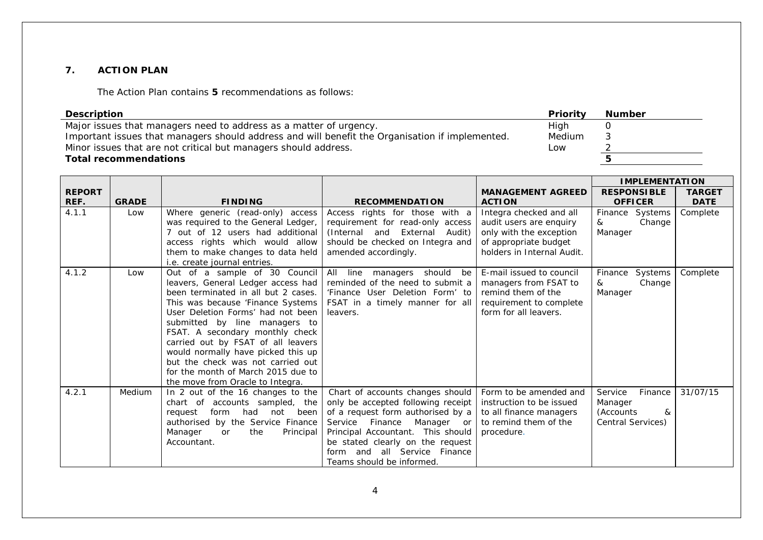#### **7. ACTION PLAN**

The Action Plan contains **5** recommendations as follows:

| <b>Description</b>                                                                              | Priority | <b>Number</b> |
|-------------------------------------------------------------------------------------------------|----------|---------------|
| Major issues that managers need to address as a matter of urgency.                              | High     |               |
| Important issues that managers should address and will benefit the Organisation if implemented. | Medium   | ు             |
| Minor issues that are not critical but managers should address.                                 | Low      |               |
| <b>Total recommendations</b>                                                                    |          |               |

|               |              |                                     |                                         |                            | <b>IMPLEMENTATION</b> |               |
|---------------|--------------|-------------------------------------|-----------------------------------------|----------------------------|-----------------------|---------------|
| <b>REPORT</b> |              |                                     |                                         | <b>MANAGEMENT AGREED</b>   | <b>RESPONSIBLE</b>    | <b>TARGET</b> |
| REF.          | <b>GRADE</b> | <b>FINDING</b>                      | <b>RECOMMENDATION</b>                   | <b>ACTION</b>              | <b>OFFICER</b>        | <b>DATE</b>   |
| 4.1.1         | Low          | Where generic (read-only) access    | Access rights for those with a          | Integra checked and all    | Finance Systems       | Complete      |
|               |              | was required to the General Ledger, | requirement for read-only access        | audit users are enquiry    | Change<br>&           |               |
|               |              | out of 12 users had additional      | (Internal and External<br>Audit)        | only with the exception    | Manager               |               |
|               |              | access rights which would allow     | should be checked on Integra and        | of appropriate budget      |                       |               |
|               |              | them to make changes to data held   | amended accordingly.                    | holders in Internal Audit. |                       |               |
|               |              | i.e. create journal entries.        |                                         |                            |                       |               |
| 4.1.2         | Low          | Out of a sample of 30 Council       | All<br>line<br>should<br>managers<br>be | E-mail issued to council   | Systems<br>Finance    | Complete      |
|               |              | leavers, General Ledger access had  | reminded of the need to submit a        | managers from FSAT to      | Change<br>&           |               |
|               |              | been terminated in all but 2 cases. | 'Finance User Deletion Form' to         | remind them of the         | Manager               |               |
|               |              | This was because 'Finance Systems   | FSAT in a timely manner for all         | requirement to complete    |                       |               |
|               |              | User Deletion Forms' had not been   | leavers.                                | form for all leavers.      |                       |               |
|               |              | submitted by line managers to       |                                         |                            |                       |               |
|               |              | FSAT. A secondary monthly check     |                                         |                            |                       |               |
|               |              | carried out by FSAT of all leavers  |                                         |                            |                       |               |
|               |              | would normally have picked this up  |                                         |                            |                       |               |
|               |              | but the check was not carried out   |                                         |                            |                       |               |
|               |              | for the month of March 2015 due to  |                                         |                            |                       |               |
|               |              | the move from Oracle to Integra.    |                                         |                            |                       |               |
| 4.2.1         | Medium       | In 2 out of the 16 changes to the   | Chart of accounts changes should        | Form to be amended and     | Service<br>Finance    | 31/07/15      |
|               |              | chart of accounts sampled, the      | only be accepted following receipt      | instruction to be issued   | Manager               |               |
|               |              | form had<br>not<br>been<br>request  | of a request form authorised by a       | to all finance managers    | (Accounts<br>&        |               |
|               |              | authorised by the Service Finance   | Service<br>Finance<br>Manager or        | to remind them of the      | Central Services)     |               |
|               |              | the<br>Manager<br>Principal<br>or   | Principal Accountant. This should       | procedure.                 |                       |               |
|               |              | Accountant.                         | be stated clearly on the request        |                            |                       |               |
|               |              |                                     | all Service Finance<br>and<br>form      |                            |                       |               |
|               |              |                                     | Teams should be informed.               |                            |                       |               |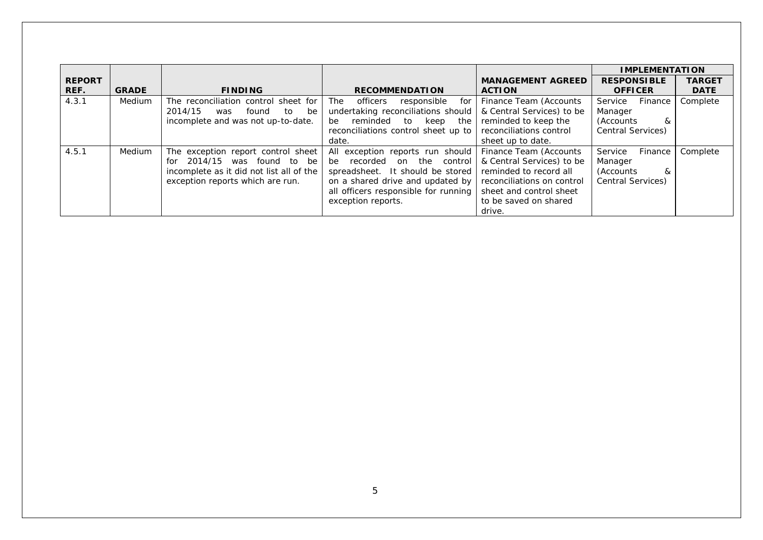|               |              |                                          |                                              |                            | <b>IMPLEMENTATION</b>    |               |
|---------------|--------------|------------------------------------------|----------------------------------------------|----------------------------|--------------------------|---------------|
| <b>REPORT</b> |              |                                          |                                              | <b>MANAGEMENT AGREED</b>   | <b>RESPONSIBLE</b>       | <b>TARGET</b> |
| REF.          | <b>GRADE</b> | <b>FINDING</b>                           | <b>RECOMMENDATION</b>                        | <b>ACTION</b>              | <b>OFFICER</b>           | <b>DATE</b>   |
| 4.3.1         | Medium       | The reconciliation control sheet for     | <b>The</b><br>officers<br>for<br>responsible | Finance Team (Accounts     | Service<br>Finance       | Complete      |
|               |              | 2014/15<br>found<br>to<br>be<br>was      | undertaking reconciliations should           | & Central Services) to be  | Manager                  |               |
|               |              | incomplete and was not up-to-date.       | reminded<br>keep<br>the<br>be<br>to          | reminded to keep the       | &<br>(Accounts)          |               |
|               |              |                                          | reconciliations control sheet up to          | reconciliations control    | Central Services)        |               |
|               |              |                                          | date.                                        | sheet up to date.          |                          |               |
| 4.5.1         | Medium       | The exception report control sheet       | All exception reports run should             | Finance Team (Accounts     | Service<br>Finance       | Complete      |
|               |              | 2014/15 was found to be<br>for           | be recorded on<br>the<br>control             | & Central Services) to be  | Manager                  |               |
|               |              | incomplete as it did not list all of the | spreadsheet. It should be stored             | reminded to record all     | &<br>(Accounts)          |               |
|               |              | exception reports which are run.         | on a shared drive and updated by             | reconciliations on control | <b>Central Services)</b> |               |
|               |              |                                          | all officers responsible for running         | sheet and control sheet    |                          |               |
|               |              |                                          | exception reports.                           | to be saved on shared      |                          |               |
|               |              |                                          |                                              | drive.                     |                          |               |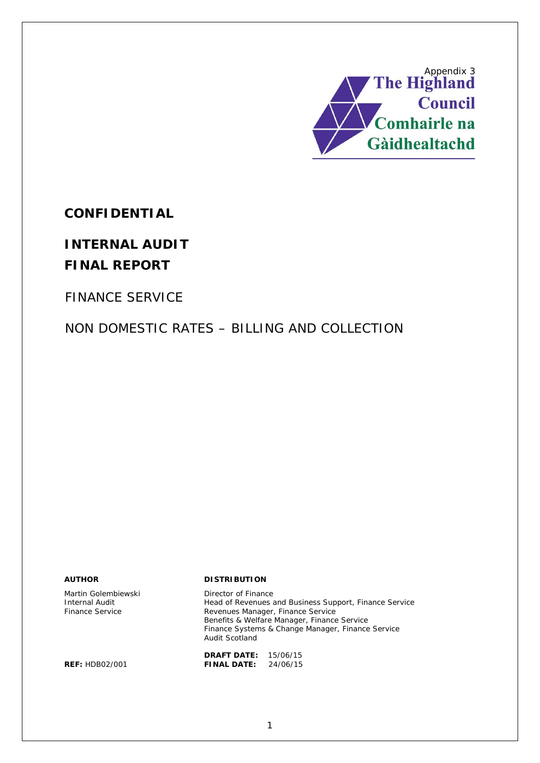

**CONFIDENTIAL**

# **INTERNAL AUDIT FINAL REPORT**

FINANCE SERVICE

NON DOMESTIC RATES – BILLING AND COLLECTION

Martin Golembiewski Internal Audit Finance Service

#### **AUTHOR DISTRIBUTION**

Director of Finance Head of Revenues and Business Support, Finance Service Revenues Manager, Finance Service Benefits & Welfare Manager, Finance Service Finance Systems & Change Manager, Finance Service Audit Scotland

**DRAFT DATE:** 15/06/15 **REF:** HDB02/001 **FINAL DATE:** 24/06/15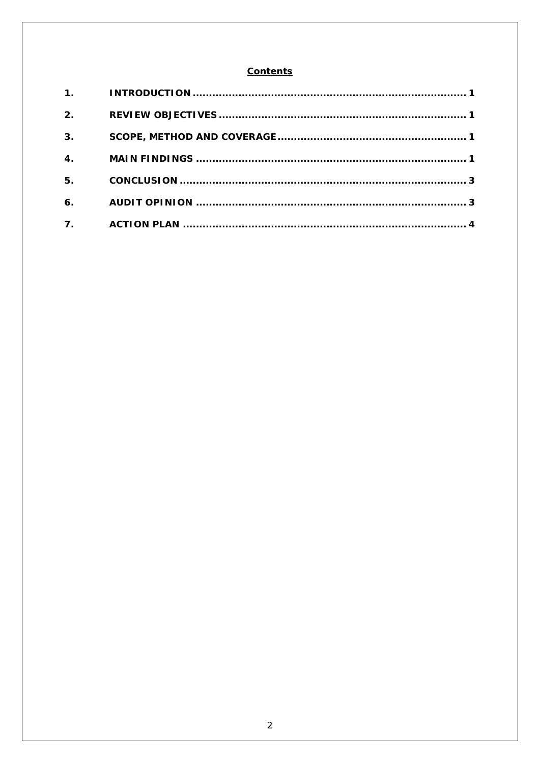### **Contents**

| 2.               |  |
|------------------|--|
| 3.               |  |
| $\overline{4}$ . |  |
| 5.               |  |
| 6.               |  |
| 7.               |  |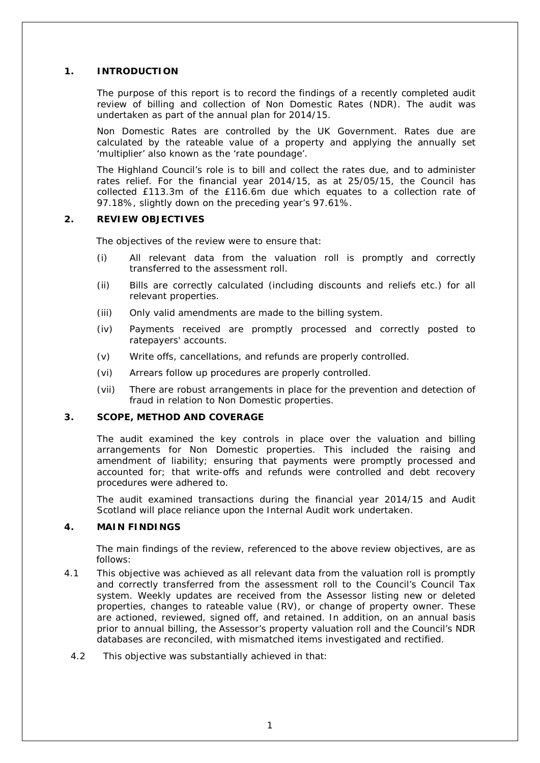#### **1. INTRODUCTION**

The purpose of this report is to record the findings of a recently completed audit review of billing and collection of Non Domestic Rates (NDR). The audit was undertaken as part of the annual plan for 2014/15.

Non Domestic Rates are controlled by the UK Government. Rates due are calculated by the rateable value of a property and applying the annually set 'multiplier' also known as the 'rate poundage'.

The Highland Council's role is to bill and collect the rates due, and to administer rates relief. For the financial year 2014/15, as at 25/05/15, the Council has collected £113.3m of the £116.6m due which equates to a collection rate of 97.18%, slightly down on the preceding year's 97.61%.

#### **2. REVIEW OBJECTIVES**

The objectives of the review were to ensure that:

- (i) All relevant data from the valuation roll is promptly and correctly transferred to the assessment roll.
- (ii) Bills are correctly calculated (including discounts and reliefs etc.) for all relevant properties.
- (iii) Only valid amendments are made to the billing system.
- (iv) Payments received are promptly processed and correctly posted to ratepayers' accounts.
- (v) Write offs, cancellations, and refunds are properly controlled.
- (vi) Arrears follow up procedures are properly controlled.
- (vii) There are robust arrangements in place for the prevention and detection of fraud in relation to Non Domestic properties.

#### **3. SCOPE, METHOD AND COVERAGE**

The audit examined the key controls in place over the valuation and billing arrangements for Non Domestic properties. This included the raising and amendment of liability; ensuring that payments were promptly processed and accounted for; that write-offs and refunds were controlled and debt recovery procedures were adhered to.

The audit examined transactions during the financial year 2014/15 and Audit Scotland will place reliance upon the Internal Audit work undertaken.

#### **4. MAIN FINDINGS**

The main findings of the review, referenced to the above review objectives, are as follows:

- 4.1 This objective was achieved as all relevant data from the valuation roll is promptly and correctly transferred from the assessment roll to the Council's Council Tax system. Weekly updates are received from the Assessor listing new or deleted properties, changes to rateable value (RV), or change of property owner. These are actioned, reviewed, signed off, and retained. In addition, on an annual basis prior to annual billing, the Assessor's property valuation roll and the Council's NDR databases are reconciled, with mismatched items investigated and rectified.
	- 4.2 This objective was substantially achieved in that: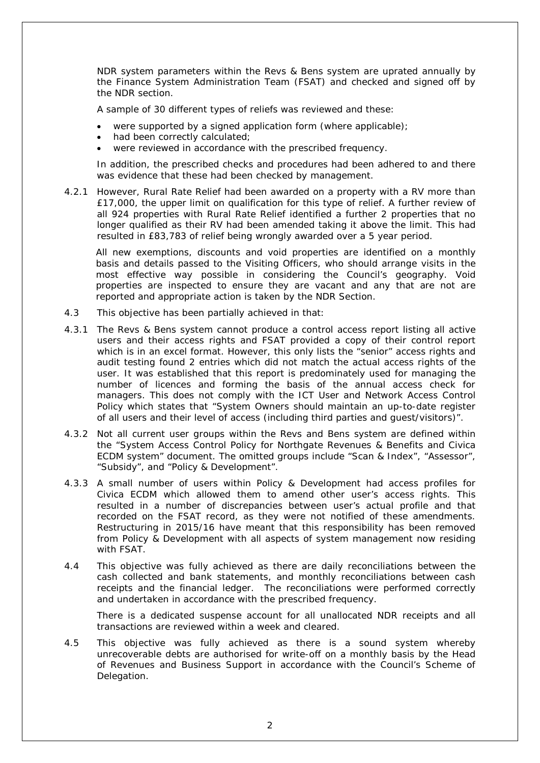NDR system parameters within the Revs & Bens system are uprated annually by the Finance System Administration Team (FSAT) and checked and signed off by the NDR section.

A sample of 30 different types of reliefs was reviewed and these:

- were supported by a signed application form (where applicable);
- had been correctly calculated;
- were reviewed in accordance with the prescribed frequency.

In addition, the prescribed checks and procedures had been adhered to and there was evidence that these had been checked by management.

4.2.1 However, Rural Rate Relief had been awarded on a property with a RV more than £17,000, the upper limit on qualification for this type of relief. A further review of all 924 properties with Rural Rate Relief identified a further 2 properties that no longer qualified as their RV had been amended taking it above the limit. This had resulted in £83,783 of relief being wrongly awarded over a 5 year period.

All new exemptions, discounts and void properties are identified on a monthly basis and details passed to the Visiting Officers, who should arrange visits in the most effective way possible in considering the Council's geography. Void properties are inspected to ensure they are vacant and any that are not are reported and appropriate action is taken by the NDR Section.

- 4.3 This objective has been partially achieved in that:
- 4.3.1 The Revs & Bens system cannot produce a control access report listing all active users and their access rights and FSAT provided a copy of their control report which is in an excel format. However, this only lists the "senior" access rights and audit testing found 2 entries which did not match the actual access rights of the user. It was established that this report is predominately used for managing the number of licences and forming the basis of the annual access check for managers. This does not comply with the ICT User and Network Access Control Policy which states that *"System Owners should maintain an up-to-date register of all users and their level of access (including third parties and guest/visitors)".*
- 4.3.2 Not all current user groups within the Revs and Bens system are defined within the "System Access Control Policy for Northgate Revenues & Benefits and Civica ECDM system" document. The omitted groups include "Scan & Index", "Assessor", "Subsidy", and "Policy & Development".
- 4.3.3 A small number of users within Policy & Development had access profiles for Civica ECDM which allowed them to amend other user's access rights. This resulted in a number of discrepancies between user's actual profile and that recorded on the FSAT record, as they were not notified of these amendments. Restructuring in 2015/16 have meant that this responsibility has been removed from Policy & Development with all aspects of system management now residing with FSAT.
- 4.4 This objective was fully achieved as there are daily reconciliations between the cash collected and bank statements, and monthly reconciliations between cash receipts and the financial ledger. The reconciliations were performed correctly and undertaken in accordance with the prescribed frequency.

There is a dedicated suspense account for all unallocated NDR receipts and all transactions are reviewed within a week and cleared.

4.5 This objective was fully achieved as there is a sound system whereby unrecoverable debts are authorised for write-off on a monthly basis by the Head of Revenues and Business Support in accordance with the Council's Scheme of Delegation.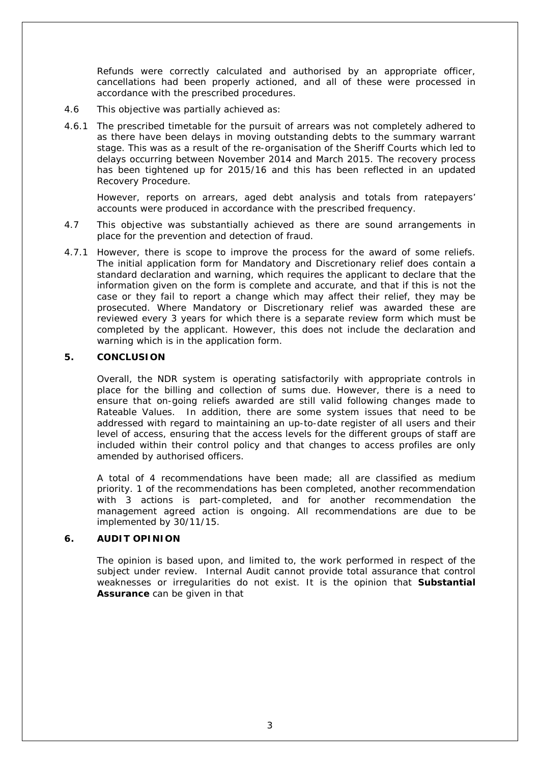Refunds were correctly calculated and authorised by an appropriate officer, cancellations had been properly actioned, and all of these were processed in accordance with the prescribed procedures.

- 4.6 This objective was partially achieved as:
- 4.6.1 The prescribed timetable for the pursuit of arrears was not completely adhered to as there have been delays in moving outstanding debts to the summary warrant stage. This was as a result of the re-organisation of the Sheriff Courts which led to delays occurring between November 2014 and March 2015. The recovery process has been tightened up for 2015/16 and this has been reflected in an updated Recovery Procedure.

However, reports on arrears, aged debt analysis and totals from ratepayers' accounts were produced in accordance with the prescribed frequency.

- 4.7 This objective was substantially achieved as there are sound arrangements in place for the prevention and detection of fraud.
- 4.7.1 However, there is scope to improve the process for the award of some reliefs. The initial application form for Mandatory and Discretionary relief does contain a standard declaration and warning, which requires the applicant to declare that the information given on the form is complete and accurate, and that if this is not the case or they fail to report a change which may affect their relief, they may be prosecuted. Where Mandatory or Discretionary relief was awarded these are reviewed every 3 years for which there is a separate review form which must be completed by the applicant. However, this does not include the declaration and warning which is in the application form.

#### **5. CONCLUSION**

Overall, the NDR system is operating satisfactorily with appropriate controls in place for the billing and collection of sums due. However, there is a need to ensure that on-going reliefs awarded are still valid following changes made to Rateable Values. In addition, there are some system issues that need to be addressed with regard to maintaining an up-to-date register of all users and their level of access, ensuring that the access levels for the different groups of staff are included within their control policy and that changes to access profiles are only amended by authorised officers.

A total of 4 recommendations have been made; all are classified as medium priority. 1 of the recommendations has been completed, another recommendation with 3 actions is part-completed, and for another recommendation the management agreed action is ongoing. All recommendations are due to be implemented by 30/11/15.

#### **6. AUDIT OPINION**

The opinion is based upon, and limited to, the work performed in respect of the subject under review. Internal Audit cannot provide total assurance that control weaknesses or irregularities do not exist. It is the opinion that **Substantial Assurance** can be given in that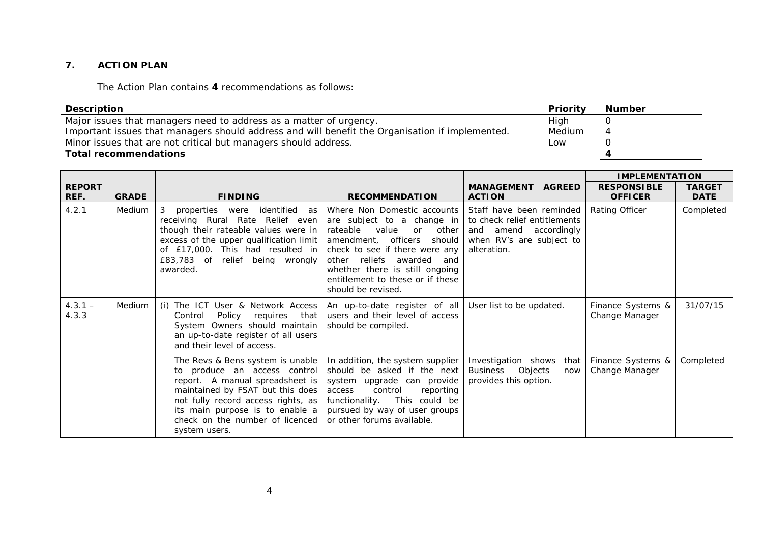#### **7. ACTION PLAN**

The Action Plan contains **4** recommendations as follows:

| Description                                                                                     | <b>Priority</b> | <b>Number</b> |
|-------------------------------------------------------------------------------------------------|-----------------|---------------|
| Major issues that managers need to address as a matter of urgency.                              | High            |               |
| Important issues that managers should address and will benefit the Organisation if implemented. | Medium          |               |
| Minor issues that are not critical but managers should address.                                 | Low             |               |
| <b>Total recommendations</b>                                                                    |                 |               |

|                       |              |                                                                                                                                                                                                                                                                      |                                                                                                                                                                                                                                                                                                                      |                                                                                                  | <b>IMPLEMENTATION</b>                |                              |
|-----------------------|--------------|----------------------------------------------------------------------------------------------------------------------------------------------------------------------------------------------------------------------------------------------------------------------|----------------------------------------------------------------------------------------------------------------------------------------------------------------------------------------------------------------------------------------------------------------------------------------------------------------------|--------------------------------------------------------------------------------------------------|--------------------------------------|------------------------------|
| <b>REPORT</b><br>REF. | <b>GRADE</b> | <b>FINDING</b>                                                                                                                                                                                                                                                       | <b>RECOMMENDATION</b>                                                                                                                                                                                                                                                                                                | <b>MANAGEMENT AGREED</b><br><b>ACTION</b>                                                        | <b>RESPONSIBLE</b><br><b>OFFICER</b> | <b>TARGET</b><br><b>DATE</b> |
| 4.2.1                 | Medium       | properties were<br>identified as<br>3<br>receiving Rural Rate Relief even<br>though their rateable values were in<br>excess of the upper qualification limit<br>of £17,000. This had resulted in<br>£83,783 of relief being wrongly<br>awarded.                      | Where Non Domestic accounts   Staff have been reminded<br>are subject to a change in<br>rateable<br>value<br>other<br>or<br>amendment, officers<br>should<br>check to see if there were any<br>other reliefs awarded and<br>whether there is still ongoing<br>entitlement to these or if these<br>should be revised. | to check relief entitlements<br>and amend accordingly<br>when RV's are subject to<br>alteration. | Rating Officer                       | Completed                    |
| $4.3.1 -$<br>4.3.3    | Medium       | (i) The ICT User & Network Access<br>Policy<br>that<br>Control<br>requires<br>System Owners should maintain<br>an up-to-date register of all users<br>and their level of access.                                                                                     | An up-to-date register of all<br>users and their level of access<br>should be compiled.                                                                                                                                                                                                                              | User list to be updated.                                                                         | Finance Systems &<br>Change Manager  | 31/07/15                     |
|                       |              | The Revs & Bens system is unable<br>to produce an access control<br>report. A manual spreadsheet is<br>maintained by FSAT but this does<br>not fully record access rights, as<br>its main purpose is to enable a<br>check on the number of licenced<br>system users. | In addition, the system supplier<br>should be asked if the next<br>system upgrade can provide<br>control<br>reporting<br>access<br>functionality. This could be<br>pursued by way of user groups<br>or other forums available.                                                                                       | Investigation shows that   Finance Systems &<br>Business Objects<br>now<br>provides this option. | Change Manager                       | Completed                    |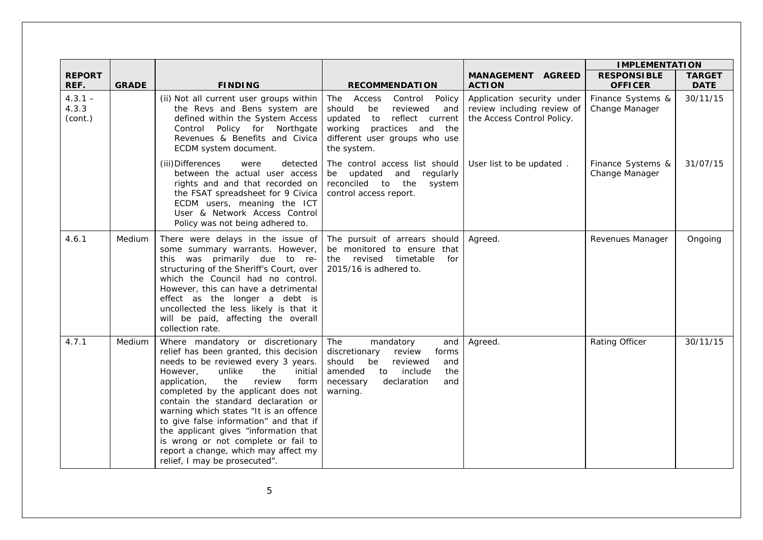|                               |              |                                                                                                                                                                                                                                                                                                                                                                                                                                                                                                                               |                                                                                                                                                                                     |                                                                                        | <b>IMPLEMENTATION</b>                |                              |
|-------------------------------|--------------|-------------------------------------------------------------------------------------------------------------------------------------------------------------------------------------------------------------------------------------------------------------------------------------------------------------------------------------------------------------------------------------------------------------------------------------------------------------------------------------------------------------------------------|-------------------------------------------------------------------------------------------------------------------------------------------------------------------------------------|----------------------------------------------------------------------------------------|--------------------------------------|------------------------------|
| <b>REPORT</b><br>REF.         | <b>GRADE</b> | <b>FINDING</b>                                                                                                                                                                                                                                                                                                                                                                                                                                                                                                                | <b>RECOMMENDATION</b>                                                                                                                                                               | <b>MANAGEMENT AGREED</b><br><b>ACTION</b>                                              | <b>RESPONSIBLE</b><br><b>OFFICER</b> | <b>TARGET</b><br><b>DATE</b> |
| $4.3.1 -$<br>4.3.3<br>(cont.) |              | (ii) Not all current user groups within<br>the Revs and Bens system are<br>defined within the System Access<br>Policy for Northgate<br>Control<br>Revenues & Benefits and Civica<br>ECDM system document.                                                                                                                                                                                                                                                                                                                     | The Access<br>Control<br>Policy<br>should<br>be<br>reviewed<br>and<br>reflect current<br>updated to<br>working<br>practices and the<br>different user groups who use<br>the system. | Application security under<br>review including review of<br>the Access Control Policy. | Finance Systems &<br>Change Manager  | 30/11/15                     |
|                               |              | (iii) Differences<br>were<br>detected<br>between the actual user access<br>rights and and that recorded on<br>the FSAT spreadsheet for 9 Civica<br>ECDM users, meaning the ICT<br>User & Network Access Control<br>Policy was not being adhered to.                                                                                                                                                                                                                                                                           | The control access list should<br>regularly<br>be<br>updated and<br>reconciled to the<br>system<br>control access report.                                                           | User list to be updated.                                                               | Finance Systems &<br>Change Manager  | 31/07/15                     |
| 4.6.1                         | Medium       | There were delays in the issue of<br>some summary warrants. However,<br>this was primarily due to re-<br>structuring of the Sheriff's Court, over<br>which the Council had no control.<br>However, this can have a detrimental<br>effect as the longer a debt is<br>uncollected the less likely is that it<br>will be paid, affecting the overall<br>collection rate.                                                                                                                                                         | The pursuit of arrears should<br>be monitored to ensure that<br>revised<br>timetable<br>for<br>the<br>2015/16 is adhered to.                                                        | Agreed.                                                                                | Revenues Manager                     | Ongoing                      |
| 4.7.1                         | Medium       | Where mandatory or discretionary<br>relief has been granted, this decision<br>needs to be reviewed every 3 years.<br>initial<br>However,<br>unlike<br>the<br>the<br>review<br>application,<br>form<br>completed by the applicant does not<br>contain the standard declaration or<br>warning which states "It is an offence<br>to give false information" and that if<br>the applicant gives "information that<br>is wrong or not complete or fail to<br>report a change, which may affect my<br>relief, I may be prosecuted". | The<br>mandatory<br>and<br>discretionary<br>review<br>forms<br>should<br>reviewed<br>be<br>and<br>include<br>the<br>amended<br>to<br>declaration<br>and<br>necessary<br>warning.    | Agreed.                                                                                | Rating Officer                       | 30/11/15                     |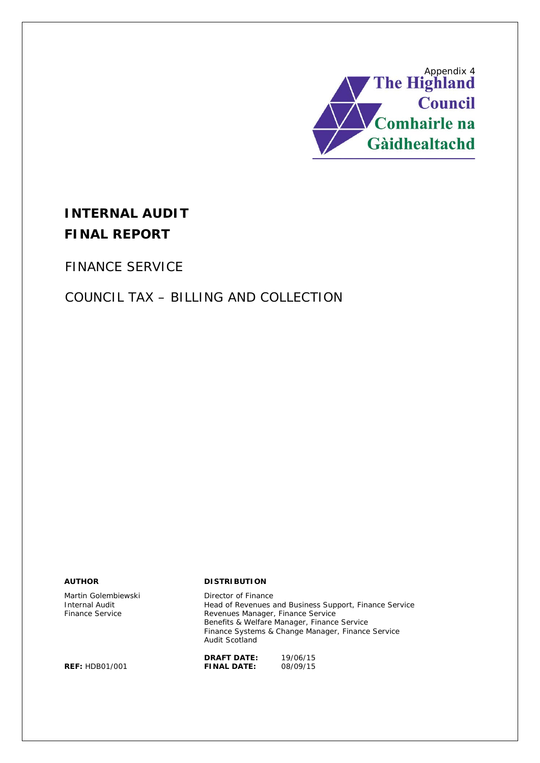

# **INTERNAL AUDIT FINAL REPORT**

FINANCE SERVICE

# COUNCIL TAX – BILLING AND COLLECTION

Martin Golembiewski **Director of Finance** 

#### **AUTHOR DISTRIBUTION**

Internal Audit **Internal Audit** Head of Revenues and Business Support, Finance Service<br>
Finance Service **Finance Service**<br>
Revenues Manager, Finance Service Revenues Manager, Finance Service Benefits & Welfare Manager, Finance Service Finance Systems & Change Manager, Finance Service Audit Scotland

**DRAFT DATE:** 19/06/15<br>**FINAL DATE:** 08/09/15

**REF: HDB01/001**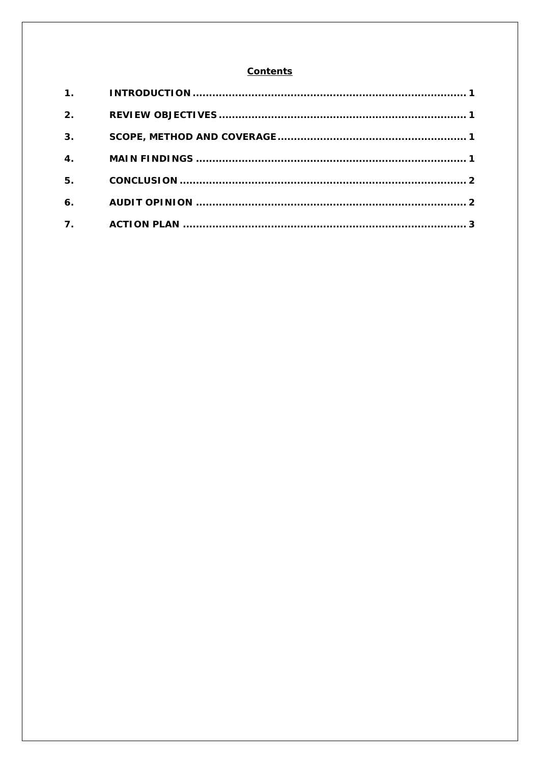#### **Contents**

| 2.                        |  |
|---------------------------|--|
| 3 <sub>1</sub>            |  |
| $\overline{\mathbf{4}}$ . |  |
| 5.                        |  |
| 6.                        |  |
| 7.                        |  |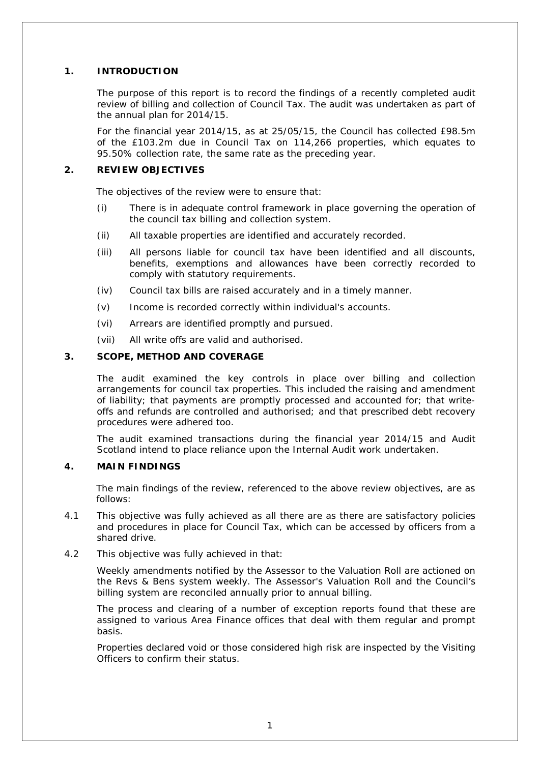#### **1. INTRODUCTION**

The purpose of this report is to record the findings of a recently completed audit review of billing and collection of Council Tax. The audit was undertaken as part of the annual plan for 2014/15.

For the financial year 2014/15, as at 25/05/15, the Council has collected £98.5m of the £103.2m due in Council Tax on 114,266 properties, which equates to 95.50% collection rate, the same rate as the preceding year.

#### **2. REVIEW OBJECTIVES**

The objectives of the review were to ensure that:

- (i) There is in adequate control framework in place governing the operation of the council tax billing and collection system.
- (ii) All taxable properties are identified and accurately recorded.
- (iii) All persons liable for council tax have been identified and all discounts, benefits, exemptions and allowances have been correctly recorded to comply with statutory requirements.
- (iv) Council tax bills are raised accurately and in a timely manner.
- (v) Income is recorded correctly within individual's accounts.
- (vi) Arrears are identified promptly and pursued.
- (vii) All write offs are valid and authorised.

#### **3. SCOPE, METHOD AND COVERAGE**

The audit examined the key controls in place over billing and collection arrangements for council tax properties. This included the raising and amendment of liability; that payments are promptly processed and accounted for; that writeoffs and refunds are controlled and authorised; and that prescribed debt recovery procedures were adhered too.

The audit examined transactions during the financial year 2014/15 and Audit Scotland intend to place reliance upon the Internal Audit work undertaken.

#### **4. MAIN FINDINGS**

The main findings of the review, referenced to the above review objectives, are as follows:

- 4.1 This objective was fully achieved as all there are as there are satisfactory policies and procedures in place for Council Tax, which can be accessed by officers from a shared drive.
- 4.2 This objective was fully achieved in that:

Weekly amendments notified by the Assessor to the Valuation Roll are actioned on the Revs & Bens system weekly. The Assessor's Valuation Roll and the Council's billing system are reconciled annually prior to annual billing.

The process and clearing of a number of exception reports found that these are assigned to various Area Finance offices that deal with them regular and prompt basis.

Properties declared void or those considered high risk are inspected by the Visiting Officers to confirm their status.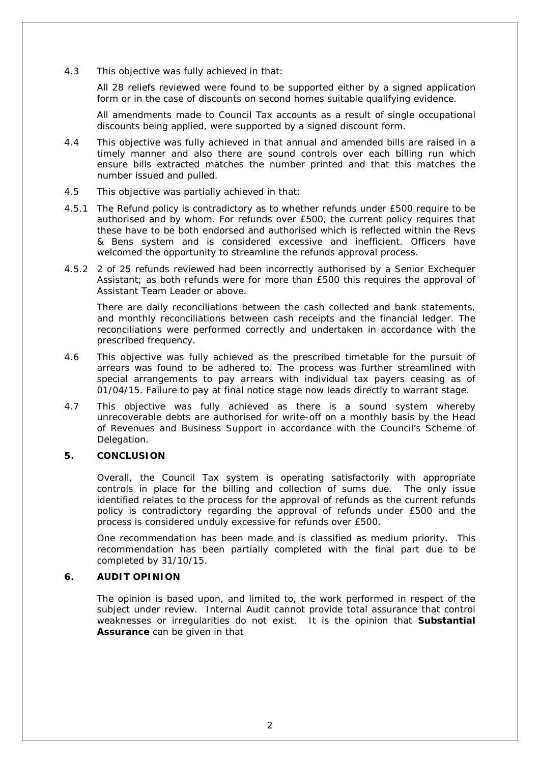4.3 This objective was fully achieved in that:

All 28 reliefs reviewed were found to be supported either by a signed application form or in the case of discounts on second homes suitable qualifying evidence.

All amendments made to Council Tax accounts as a result of single occupational discounts being applied, were supported by a signed discount form.

- 4.4 This objective was fully achieved in that annual and amended bills are raised in a timely manner and also there are sound controls over each billing run which ensure bills extracted matches the number printed and that this matches the number issued and pulled.
- 4.5 This objective was partially achieved in that:
- 4.5.1 The Refund policy is contradictory as to whether refunds under £500 require to be authorised and by whom. For refunds over £500, the current policy requires that these have to be both endorsed and authorised which is reflected within the Revs & Bens system and is considered excessive and inefficient. Officers have welcomed the opportunity to streamline the refunds approval process.
- 4.5.2 2 of 25 refunds reviewed had been incorrectly authorised by a Senior Exchequer Assistant; as both refunds were for more than £500 this requires the approval of Assistant Team Leader or above.

There are daily reconciliations between the cash collected and bank statements, and monthly reconciliations between cash receipts and the financial ledger. The reconciliations were performed correctly and undertaken in accordance with the prescribed frequency.

- 4.6 This objective was fully achieved as the prescribed timetable for the pursuit of arrears was found to be adhered to. The process was further streamlined with special arrangements to pay arrears with individual tax payers ceasing as of 01/04/15. Failure to pay at final notice stage now leads directly to warrant stage.
- 4.7 This objective was fully achieved as there is a sound system whereby unrecoverable debts are authorised for write-off on a monthly basis by the Head of Revenues and Business Support in accordance with the Council's Scheme of Delegation.

#### **5. CONCLUSION**

Overall, the Council Tax system is operating satisfactorily with appropriate controls in place for the billing and collection of sums due. The only issue identified relates to the process for the approval of refunds as the current refunds policy is contradictory regarding the approval of refunds under £500 and the process is considered unduly excessive for refunds over £500.

One recommendation has been made and is classified as medium priority. This recommendation has been partially completed with the final part due to be completed by 31/10/15.

#### **6. AUDIT OPINION**

The opinion is based upon, and limited to, the work performed in respect of the subject under review. Internal Audit cannot provide total assurance that control weaknesses or irregularities do not exist. It is the opinion that **Substantial Assurance** can be given in that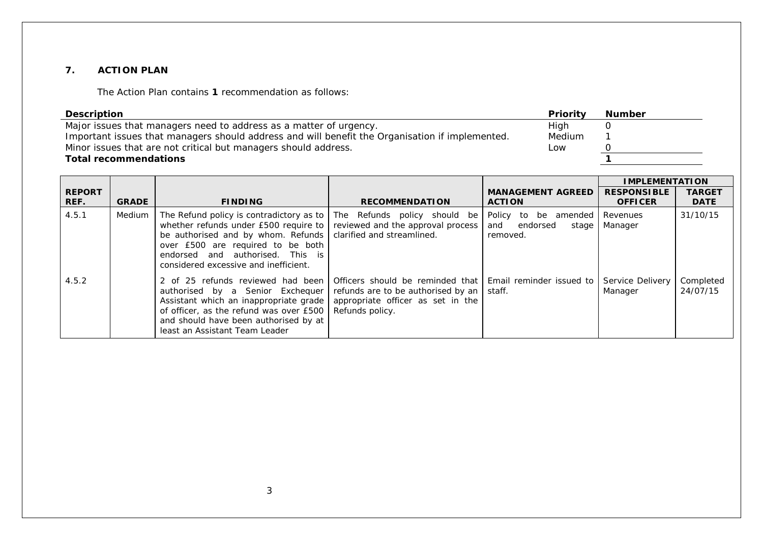#### **7. ACTION PLAN**

The Action Plan contains **1** recommendation as follows:

| <b>Description</b>                                                                              | Priority | Number |
|-------------------------------------------------------------------------------------------------|----------|--------|
| Major issues that managers need to address as a matter of urgency.                              | Hiah     |        |
| Important issues that managers should address and will benefit the Organisation if implemented. | Medium   |        |
| Minor issues that are not critical but managers should address.                                 | Low      |        |
| <b>Total recommendations</b>                                                                    |          |        |

|                       |               |                                                                                                                                                                                                                                                                          |                                                                                                                                  |                                                                    | <b>IMPLEMENTATION</b>                |                              |
|-----------------------|---------------|--------------------------------------------------------------------------------------------------------------------------------------------------------------------------------------------------------------------------------------------------------------------------|----------------------------------------------------------------------------------------------------------------------------------|--------------------------------------------------------------------|--------------------------------------|------------------------------|
| <b>REPORT</b><br>REF. | <b>GRADE</b>  | <b>FINDING</b>                                                                                                                                                                                                                                                           | <b>RECOMMENDATION</b>                                                                                                            | <b>MANAGEMENT AGREED</b><br><b>ACTION</b>                          | <b>RESPONSIBLE</b><br><b>OFFICER</b> | <b>TARGET</b><br><b>DATE</b> |
| 4.5.1                 | <b>Medium</b> | The Refund policy is contradictory as to   The Refunds policy should be<br>whether refunds under £500 require to<br>be authorised and by whom. Refunds<br>over £500 are required to be both<br>endorsed and authorised. This is<br>considered excessive and inefficient. | reviewed and the approval process<br>clarified and streamlined.                                                                  | Policy<br>to<br>be amended<br>endorsed<br>and<br>stage<br>removed. | Revenues<br>Manager                  | 31/10/15                     |
| 4.5.2                 |               | 2 of 25 refunds reviewed had been<br>authorised by a Senior Exchequer<br>Assistant which an inappropriate grade<br>of officer, as the refund was over £500<br>and should have been authorised by at<br>least an Assistant Team Leader                                    | Officers should be reminded that I<br>refunds are to be authorised by an<br>appropriate officer as set in the<br>Refunds policy. | Email reminder issued to<br>staff.                                 | Service Delivery<br>Manager          | Completed<br>24/07/15        |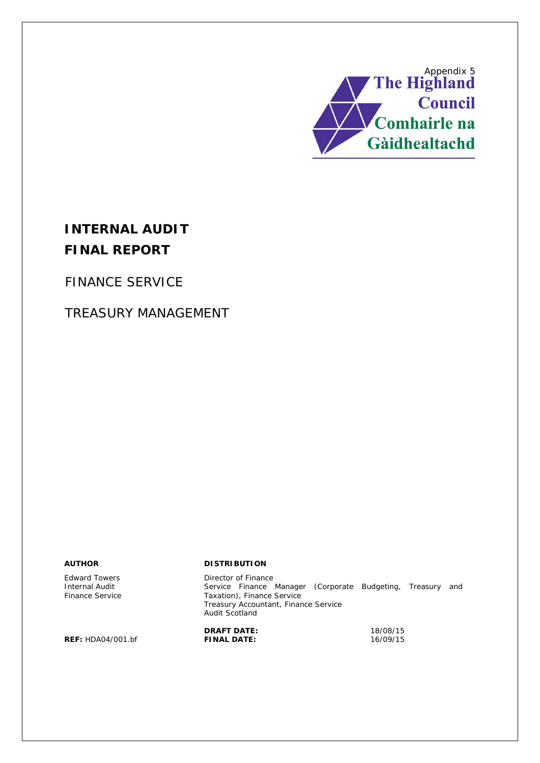

# **INTERNAL AUDIT FINAL REPORT**

FINANCE SERVICE

# TREASURY MANAGEMENT

Edward Towers Internal Audit Finance Service

#### **AUTHOR DISTRIBUTION**

Director of Finance Service Finance Manager (Corporate Budgeting, Treasury and Taxation), Finance Service Treasury Accountant, Finance Service Audit Scotland

**REF: HDA04/001.bf** 

**DRAFT DATE:** 18/08/15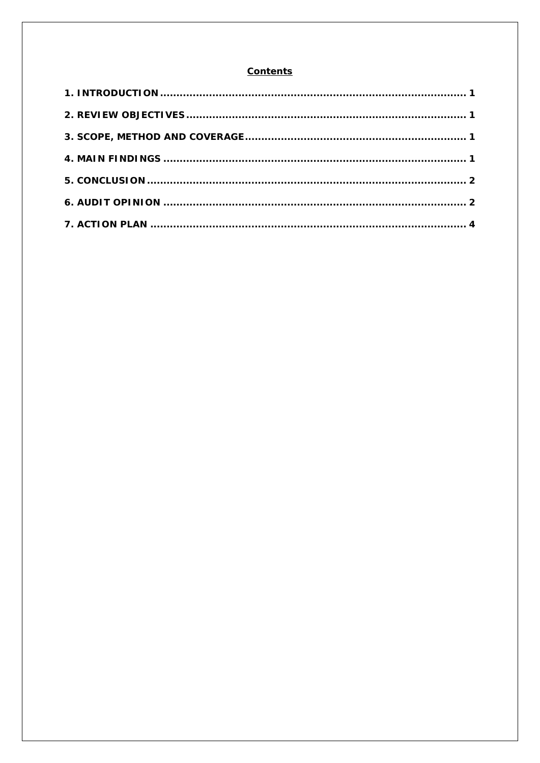#### **Contents**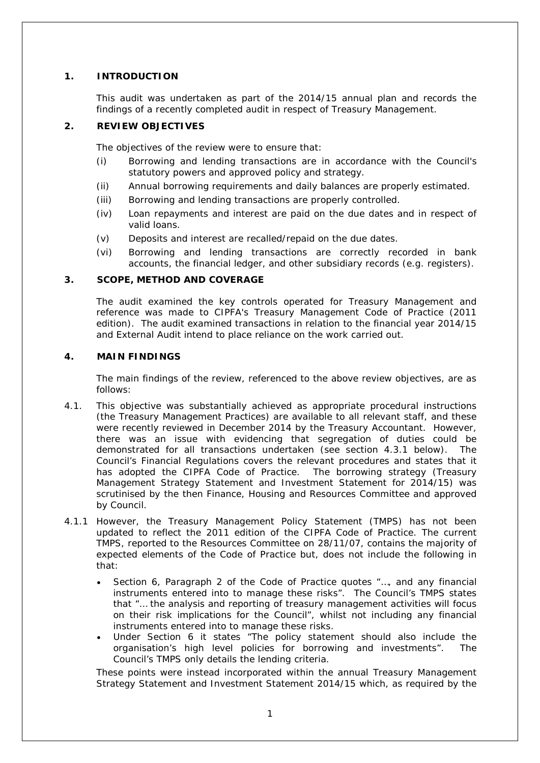### **1. INTRODUCTION**

This audit was undertaken as part of the 2014/15 annual plan and records the findings of a recently completed audit in respect of Treasury Management.

### **2. REVIEW OBJECTIVES**

The objectives of the review were to ensure that:

- (i) Borrowing and lending transactions are in accordance with the Council's statutory powers and approved policy and strategy.
- (ii) Annual borrowing requirements and daily balances are properly estimated.
- (iii) Borrowing and lending transactions are properly controlled.
- (iv) Loan repayments and interest are paid on the due dates and in respect of valid loans.
- (v) Deposits and interest are recalled/repaid on the due dates.
- (vi) Borrowing and lending transactions are correctly recorded in bank accounts, the financial ledger, and other subsidiary records (e.g. registers).

#### **3. SCOPE, METHOD AND COVERAGE**

The audit examined the key controls operated for Treasury Management and reference was made to CIPFA's Treasury Management Code of Practice (2011 edition). The audit examined transactions in relation to the financial year 2014/15 and External Audit intend to place reliance on the work carried out.

#### **4. MAIN FINDINGS**

The main findings of the review, referenced to the above review objectives, are as follows:

- 4.1. This objective was substantially achieved as appropriate procedural instructions (the Treasury Management Practices) are available to all relevant staff, and these were recently reviewed in December 2014 by the Treasury Accountant. However, there was an issue with evidencing that segregation of duties could be demonstrated for all transactions undertaken (see section 4.3.1 below). The Council's Financial Regulations covers the relevant procedures and states that it has adopted the CIPFA Code of Practice. The borrowing strategy (Treasury Management Strategy Statement and Investment Statement for 2014/15) was scrutinised by the then Finance, Housing and Resources Committee and approved by Council.
- 4.1.1 However, the Treasury Management Policy Statement (TMPS) has not been updated to reflect the 2011 edition of the CIPFA Code of Practice. The current TMPS, reported to the Resources Committee on 28/11/07, contains the majority of expected elements of the Code of Practice but, does not include the following in that:
	- Section 6, Paragraph 2 of the Code of Practice quotes "…, *and any financial instruments entered into to manage these risks*". The Council's TMPS states that "… *the analysis and reporting of treasury management activities will focus on their risk implications for the Council*", whilst not including any financial instruments entered into to manage these risks.
	- Under Section 6 it states *"The policy statement should also include the organisation's high level policies for borrowing and investments".* The Council's TMPS only details the lending criteria.

These points were instead incorporated within the annual Treasury Management Strategy Statement and Investment Statement 2014/15 which, as required by the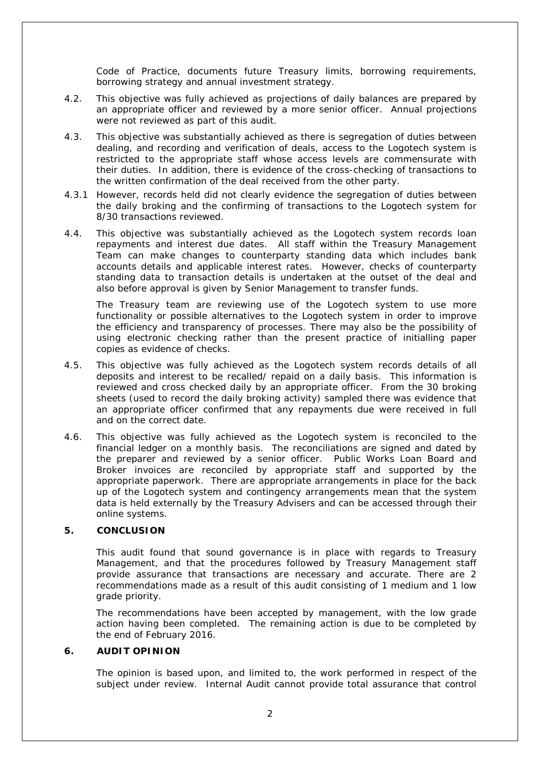Code of Practice, documents future Treasury limits, borrowing requirements, borrowing strategy and annual investment strategy.

- 4.2. This objective was fully achieved as projections of daily balances are prepared by an appropriate officer and reviewed by a more senior officer. Annual projections were not reviewed as part of this audit.
- 4.3. This objective was substantially achieved as there is segregation of duties between dealing, and recording and verification of deals, access to the Logotech system is restricted to the appropriate staff whose access levels are commensurate with their duties. In addition, there is evidence of the cross-checking of transactions to the written confirmation of the deal received from the other party.
- 4.3.1 However, records held did not clearly evidence the segregation of duties between the daily broking and the confirming of transactions to the Logotech system for 8/30 transactions reviewed.
- 4.4. This objective was substantially achieved as the Logotech system records loan repayments and interest due dates. All staff within the Treasury Management Team can make changes to counterparty standing data which includes bank accounts details and applicable interest rates. However, checks of counterparty standing data to transaction details is undertaken at the outset of the deal and also before approval is given by Senior Management to transfer funds.

The Treasury team are reviewing use of the Logotech system to use more functionality or possible alternatives to the Logotech system in order to improve the efficiency and transparency of processes. There may also be the possibility of using electronic checking rather than the present practice of initialling paper copies as evidence of checks.

- 4.5. This objective was fully achieved as the Logotech system records details of all deposits and interest to be recalled/ repaid on a daily basis. This information is reviewed and cross checked daily by an appropriate officer. From the 30 broking sheets (used to record the daily broking activity) sampled there was evidence that an appropriate officer confirmed that any repayments due were received in full and on the correct date.
- 4.6. This objective was fully achieved as the Logotech system is reconciled to the financial ledger on a monthly basis. The reconciliations are signed and dated by the preparer and reviewed by a senior officer. Public Works Loan Board and Broker invoices are reconciled by appropriate staff and supported by the appropriate paperwork. There are appropriate arrangements in place for the back up of the Logotech system and contingency arrangements mean that the system data is held externally by the Treasury Advisers and can be accessed through their online systems.

#### **5. CONCLUSION**

This audit found that sound governance is in place with regards to Treasury Management, and that the procedures followed by Treasury Management staff provide assurance that transactions are necessary and accurate. There are 2 recommendations made as a result of this audit consisting of 1 medium and 1 low grade priority.

The recommendations have been accepted by management, with the low grade action having been completed. The remaining action is due to be completed by the end of February 2016.

#### **6. AUDIT OPINION**

The opinion is based upon, and limited to, the work performed in respect of the subject under review. Internal Audit cannot provide total assurance that control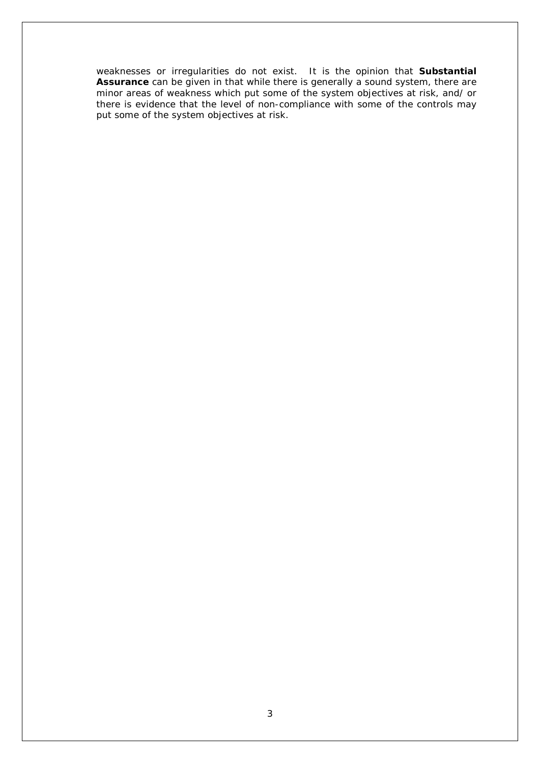weaknesses or irregularities do not exist. It is the opinion that **Substantial Assurance** can be given in that while there is generally a sound system, there are minor areas of weakness which put some of the system objectives at risk, and/ or there is evidence that the level of non-compliance with some of the controls may put some of the system objectives at risk.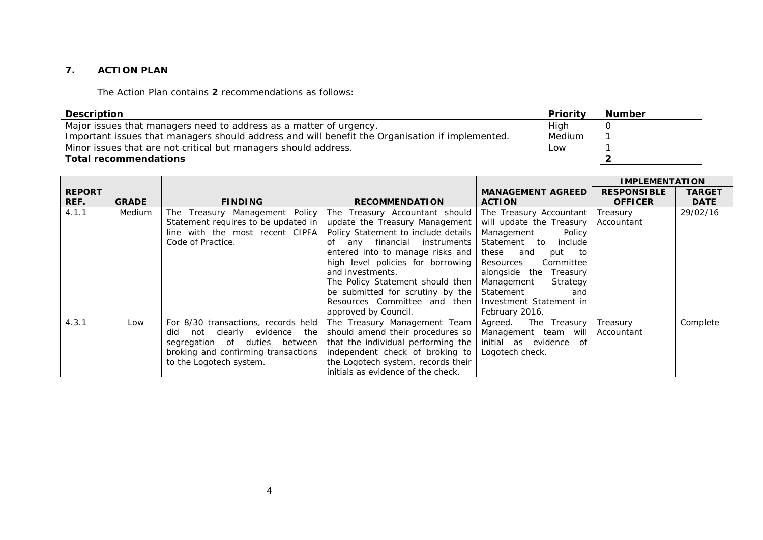#### **7. ACTION PLAN**

The Action Plan contains **2** recommendations as follows:

| <b>Description</b>                                                                              | Priority | <b>Number</b> |
|-------------------------------------------------------------------------------------------------|----------|---------------|
| Major issues that managers need to address as a matter of urgency.                              | High     |               |
| Important issues that managers should address and will benefit the Organisation if implemented. | Medium   |               |
| Minor issues that are not critical but managers should address.                                 | Low      |               |
| <b>Total recommendations</b>                                                                    |          |               |

|               |              |                                     |                                     |                          | <b>IMPLEMENTATION</b> |               |
|---------------|--------------|-------------------------------------|-------------------------------------|--------------------------|-----------------------|---------------|
| <b>REPORT</b> |              |                                     |                                     | <b>MANAGEMENT AGREED</b> | <b>RESPONSIBLE</b>    | <b>TARGET</b> |
| REF.          | <b>GRADE</b> | <b>FINDING</b>                      | <b>RECOMMENDATION</b>               | <b>ACTION</b>            | <b>OFFICER</b>        | <b>DATE</b>   |
| 4.1.1         | Medium       | The Treasury Management Policy      | The Treasury Accountant should      | The Treasury Accountant  | Treasury              | 29/02/16      |
|               |              | Statement requires to be updated in | update the Treasury Management      | will update the Treasury | Accountant            |               |
|               |              | line with the most recent CIPFA     | Policy Statement to include details | Management<br>Policy     |                       |               |
|               |              | Code of Practice.                   | any financial instruments<br>of     | Statement to<br>include  |                       |               |
|               |              |                                     | entered into to manage risks and    | these and<br>put to      |                       |               |
|               |              |                                     | high level policies for borrowing   | Resources<br>Committee   |                       |               |
|               |              |                                     | and investments.                    | alongside the Treasury   |                       |               |
|               |              |                                     | The Policy Statement should then    | Management<br>Strategy   |                       |               |
|               |              |                                     | be submitted for scrutiny by the    | Statement<br>and         |                       |               |
|               |              |                                     | Resources Committee and then        | Investment Statement in  |                       |               |
|               |              |                                     | approved by Council.                | February 2016.           |                       |               |
| 4.3.1         | Low          | For 8/30 transactions, records held | The Treasury Management Team        | Agreed.<br>The Treasury  | Treasury              | Complete      |
|               |              | not clearly evidence the<br>did     | should amend their procedures so    | Management team will     | Accountant            |               |
|               |              | segregation of duties between       | that the individual performing the  | initial as evidence of   |                       |               |
|               |              | broking and confirming transactions | independent check of broking to     | Logotech check.          |                       |               |
|               |              | to the Logotech system.             | the Logotech system, records their  |                          |                       |               |
|               |              |                                     | initials as evidence of the check.  |                          |                       |               |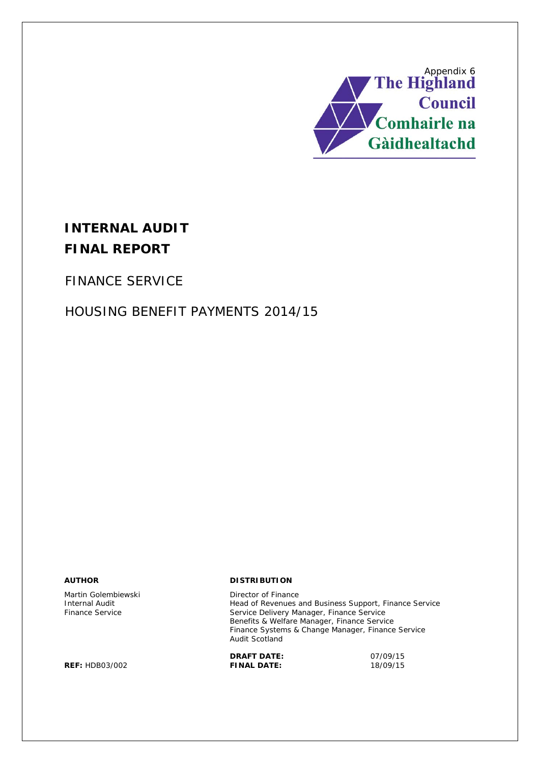

# **INTERNAL AUDIT FINAL REPORT**

FINANCE SERVICE

# HOUSING BENEFIT PAYMENTS 2014/15

Martin Golembiewski **Director of Finance**<br>
Internal Audit **Director of Finance**<br>
Head of Revenues

**REF:** HDB03/002 **FINAL DATE:** 18/09/15

#### **AUTHOR DISTRIBUTION**

Head of Revenues and Business Support, Finance Service Finance Service Service Delivery Manager, Finance Service Benefits & Welfare Manager, Finance Service Finance Systems & Change Manager, Finance Service Audit Scotland

**DRAFT DATE:** 07/09/15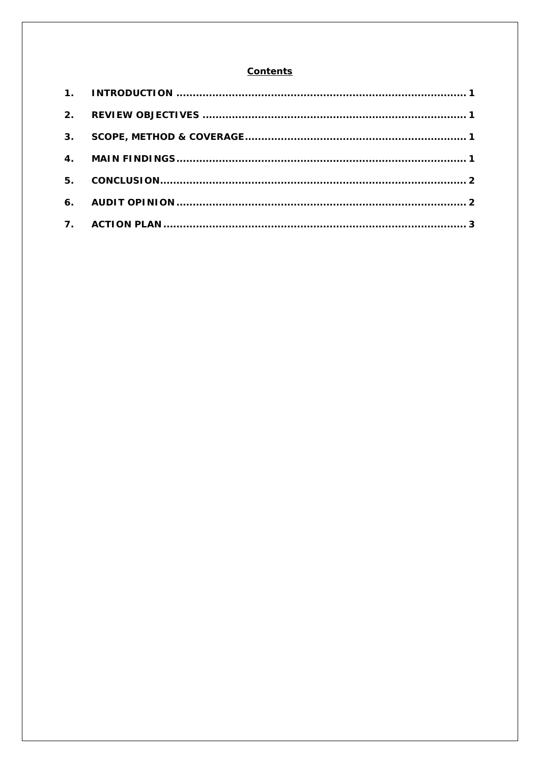#### **Contents**

| 2.             |  |
|----------------|--|
| 3.             |  |
|                |  |
| 5 <sub>1</sub> |  |
|                |  |
|                |  |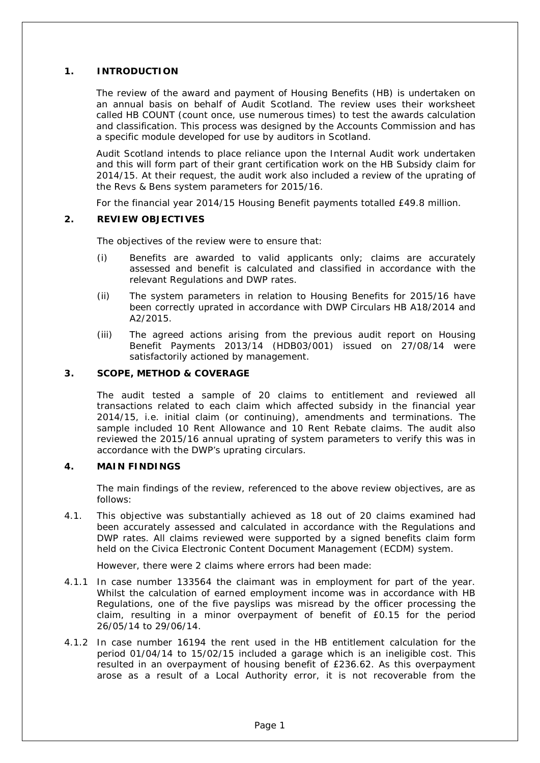#### **1. INTRODUCTION**

The review of the award and payment of Housing Benefits (HB) is undertaken on an annual basis on behalf of Audit Scotland. The review uses their worksheet called HB COUNT (count once, use numerous times) to test the awards calculation and classification. This process was designed by the Accounts Commission and has a specific module developed for use by auditors in Scotland.

Audit Scotland intends to place reliance upon the Internal Audit work undertaken and this will form part of their grant certification work on the HB Subsidy claim for 2014/15. At their request, the audit work also included a review of the uprating of the Revs & Bens system parameters for 2015/16.

For the financial year 2014/15 Housing Benefit payments totalled £49.8 million.

#### **2. REVIEW OBJECTIVES**

The objectives of the review were to ensure that:

- (i) Benefits are awarded to valid applicants only; claims are accurately assessed and benefit is calculated and classified in accordance with the relevant Regulations and DWP rates.
- (ii) The system parameters in relation to Housing Benefits for 2015/16 have been correctly uprated in accordance with DWP Circulars HB A18/2014 and A2/2015.
- (iii) The agreed actions arising from the previous audit report on Housing Benefit Payments 2013/14 (HDB03/001) issued on 27/08/14 were satisfactorily actioned by management.

#### **3. SCOPE, METHOD & COVERAGE**

The audit tested a sample of 20 claims to entitlement and reviewed all transactions related to each claim which affected subsidy in the financial year 2014/15, i.e. initial claim (or continuing), amendments and terminations. The sample included 10 Rent Allowance and 10 Rent Rebate claims. The audit also reviewed the 2015/16 annual uprating of system parameters to verify this was in accordance with the DWP's uprating circulars.

#### **4. MAIN FINDINGS**

The main findings of the review, referenced to the above review objectives, are as follows:

4.1. This objective was substantially achieved as 18 out of 20 claims examined had been accurately assessed and calculated in accordance with the Regulations and DWP rates. All claims reviewed were supported by a signed benefits claim form held on the Civica Electronic Content Document Management (ECDM) system.

However, there were 2 claims where errors had been made:

- 4.1.1 In case number 133564 the claimant was in employment for part of the year. Whilst the calculation of earned employment income was in accordance with HB Regulations, one of the five payslips was misread by the officer processing the claim, resulting in a minor overpayment of benefit of £0.15 for the period 26/05/14 to 29/06/14.
- 4.1.2 In case number 16194 the rent used in the HB entitlement calculation for the period 01/04/14 to 15/02/15 included a garage which is an ineligible cost. This resulted in an overpayment of housing benefit of £236.62. As this overpayment arose as a result of a Local Authority error, it is not recoverable from the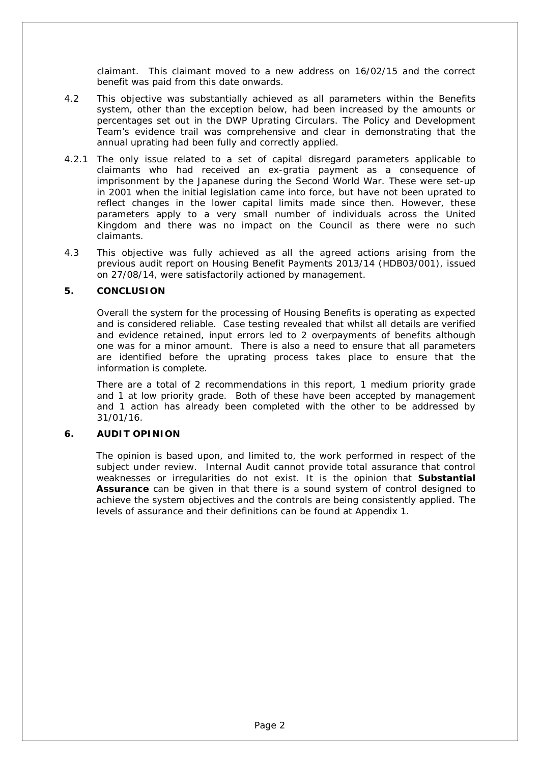claimant. This claimant moved to a new address on 16/02/15 and the correct benefit was paid from this date onwards.

- 4.2 This objective was substantially achieved as all parameters within the Benefits system, other than the exception below, had been increased by the amounts or percentages set out in the DWP Uprating Circulars. The Policy and Development Team's evidence trail was comprehensive and clear in demonstrating that the annual uprating had been fully and correctly applied.
- 4.2.1 The only issue related to a set of capital disregard parameters applicable to claimants who had received an ex-gratia payment as a consequence of imprisonment by the Japanese during the Second World War. These were set-up in 2001 when the initial legislation came into force, but have not been uprated to reflect changes in the lower capital limits made since then. However, these parameters apply to a very small number of individuals across the United Kingdom and there was no impact on the Council as there were no such claimants.
- 4.3 This objective was fully achieved as all the agreed actions arising from the previous audit report on Housing Benefit Payments 2013/14 (HDB03/001), issued on 27/08/14, were satisfactorily actioned by management.

#### **5. CONCLUSION**

Overall the system for the processing of Housing Benefits is operating as expected and is considered reliable. Case testing revealed that whilst all details are verified and evidence retained, input errors led to 2 overpayments of benefits although one was for a minor amount. There is also a need to ensure that all parameters are identified before the uprating process takes place to ensure that the information is complete.

There are a total of 2 recommendations in this report, 1 medium priority grade and 1 at low priority grade. Both of these have been accepted by management and 1 action has already been completed with the other to be addressed by 31/01/16.

#### **6. AUDIT OPINION**

The opinion is based upon, and limited to, the work performed in respect of the subject under review. Internal Audit cannot provide total assurance that control weaknesses or irregularities do not exist. It is the opinion that **Substantial Assurance** can be given in that there is a sound system of control designed to achieve the system objectives and the controls are being consistently applied. The levels of assurance and their definitions can be found at Appendix 1.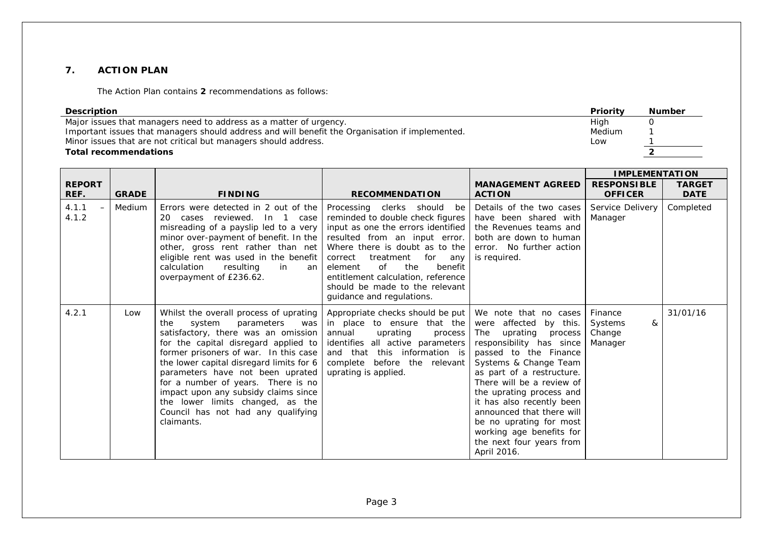#### **7. ACTION PLAN**

The Action Plan contains **2** recommendations as follows:

| <b>Description</b>                                                                              | Priority | <b>Number</b> |
|-------------------------------------------------------------------------------------------------|----------|---------------|
| Major issues that managers need to address as a matter of urgency.                              | High     |               |
| Important issues that managers should address and will benefit the Organisation if implemented. | Medium   |               |
| Minor issues that are not critical but managers should address.                                 | Low      |               |
| <b>Total recommendations</b>                                                                    |          |               |

|                                     |              |                                                                                                                                                                                                                                                                                                                                                                                                                                                         |                                                                                                                                                                                                                                                                                                                                                     |                                                                                                                                                                                                                                                                                                                                                                                                         | <b>IMPLEMENTATION</b>                        |                              |
|-------------------------------------|--------------|---------------------------------------------------------------------------------------------------------------------------------------------------------------------------------------------------------------------------------------------------------------------------------------------------------------------------------------------------------------------------------------------------------------------------------------------------------|-----------------------------------------------------------------------------------------------------------------------------------------------------------------------------------------------------------------------------------------------------------------------------------------------------------------------------------------------------|---------------------------------------------------------------------------------------------------------------------------------------------------------------------------------------------------------------------------------------------------------------------------------------------------------------------------------------------------------------------------------------------------------|----------------------------------------------|------------------------------|
| <b>REPORT</b><br>REF.               | <b>GRADE</b> | <b>FINDING</b>                                                                                                                                                                                                                                                                                                                                                                                                                                          | <b>RECOMMENDATION</b>                                                                                                                                                                                                                                                                                                                               | <b>MANAGEMENT AGREED</b><br><b>ACTION</b>                                                                                                                                                                                                                                                                                                                                                               | <b>RESPONSIBLE</b><br><b>OFFICER</b>         | <b>TARGET</b><br><b>DATE</b> |
| 4.1.1<br>$\qquad \qquad -$<br>4.1.2 | Medium       | Errors were detected in 2 out of the<br>20 cases reviewed. In 1 case<br>misreading of a payslip led to a very<br>minor over-payment of benefit. In the<br>other, gross rent rather than net<br>eligible rent was used in the benefit<br>calculation<br>resulting<br>in<br>an<br>overpayment of £236.62.                                                                                                                                                 | Processing clerks should be<br>reminded to double check figures<br>input as one the errors identified<br>resulted from an input error.<br>Where there is doubt as to the<br>correct<br>treatment<br>for any<br>the<br>of<br>element<br>benefit<br>entitlement calculation, reference<br>should be made to the relevant<br>quidance and regulations. | Details of the two cases<br>have been shared with<br>the Revenues teams and<br>both are down to human<br>error. No further action<br>is required.                                                                                                                                                                                                                                                       | Service Delivery<br>Manager                  | Completed                    |
| 4.2.1                               | Low          | Whilst the overall process of uprating<br>system<br>parameters was<br>the<br>satisfactory, there was an omission<br>for the capital disregard applied to<br>former prisoners of war. In this case<br>the lower capital disregard limits for 6<br>parameters have not been uprated<br>for a number of years. There is no<br>impact upon any subsidy claims since<br>the lower limits changed, as the<br>Council has not had any qualifying<br>claimants. | Appropriate checks should be put<br>in place to ensure that the<br>annual<br>uprating<br>process<br>identifies all active parameters<br>and that this information is<br>complete before the relevant<br>uprating is applied.                                                                                                                        | We note that no cases<br>were affected by this.<br>The uprating process<br>responsibility has since<br>passed to the Finance<br>Systems & Change Team<br>as part of a restructure.<br>There will be a review of<br>the uprating process and<br>it has also recently been<br>announced that there will<br>be no uprating for most<br>working age benefits for<br>the next four years from<br>April 2016. | Finance<br>Systems<br>&<br>Change<br>Manager | 31/01/16                     |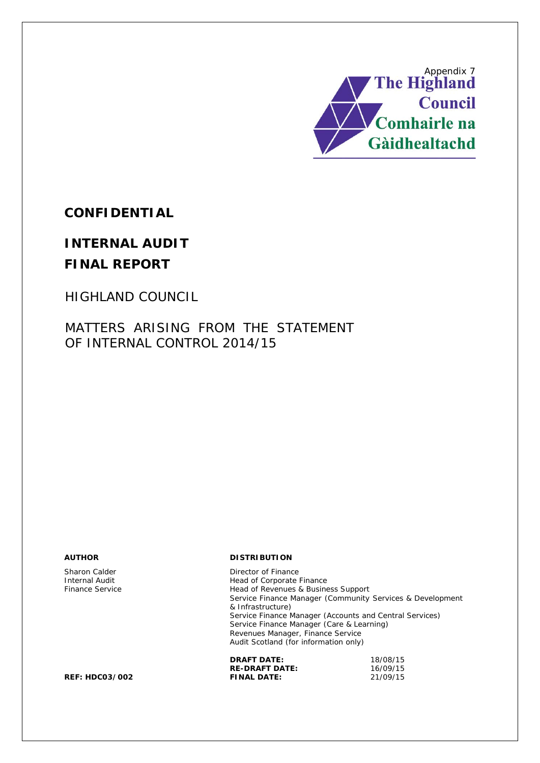

**CONFIDENTIAL**

# **INTERNAL AUDIT FINAL REPORT**

HIGHLAND COUNCIL

MATTERS ARISING FROM THE STATEMENT OF INTERNAL CONTROL 2014/15

**AUTHOR DISTRIBUTION**

Sharon Calder **Director of Finance**<br>
Internal Audit **Director of Finance**<br>
Head of Corporate Internal Audit<br>
Finance Service<br>
Head of Revenues & Busine Head of Revenues & Business Support Service Finance Manager (Community Services & Development & Infrastructure) Service Finance Manager (Accounts and Central Services) Service Finance Manager (Care & Learning) Revenues Manager, Finance Service Audit Scotland (for information only)

| <b>DRAFT DATE:</b>    | 18/08/15 |
|-----------------------|----------|
| <b>RE-DRAFT DATE:</b> | 16/09/15 |
| <b>FINAL DATE:</b>    | 21/09/15 |

**REF: HDC03/002**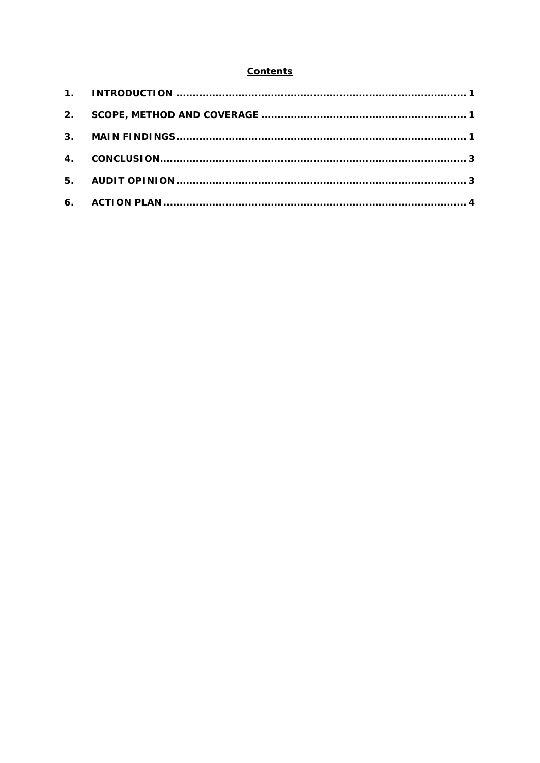#### **Contents**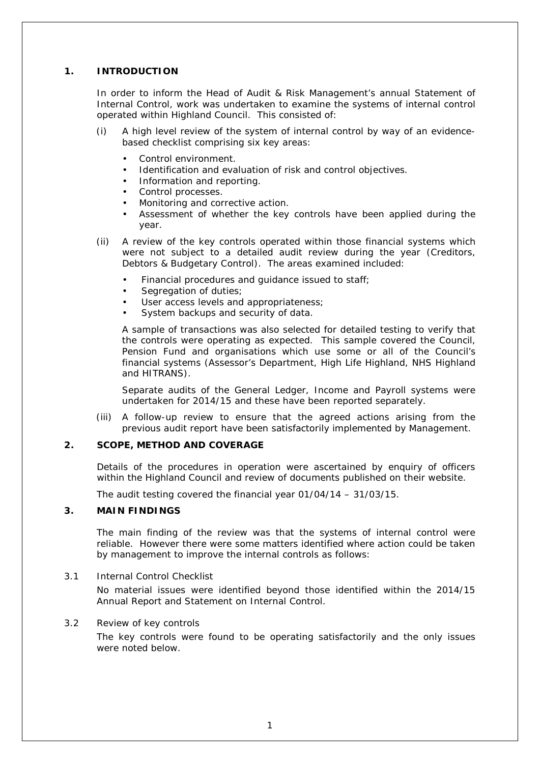#### **1. INTRODUCTION**

In order to inform the Head of Audit & Risk Management's annual Statement of Internal Control, work was undertaken to examine the systems of internal control operated within Highland Council. This consisted of:

- (i) A high level review of the system of internal control by way of an evidencebased checklist comprising six key areas:
	- Control environment.
	- Identification and evaluation of risk and control objectives.
	- Information and reporting.
	- Control processes.
	- Monitoring and corrective action.
	- Assessment of whether the key controls have been applied during the year.
- (ii) A review of the key controls operated within those financial systems which were not subject to a detailed audit review during the year (Creditors, Debtors & Budgetary Control).The areas examined included:
	- Financial procedures and guidance issued to staff;
	- Segregation of duties;
	- User access levels and appropriateness;
	- System backups and security of data.

A sample of transactions was also selected for detailed testing to verify that the controls were operating as expected. This sample covered the Council, Pension Fund and organisations which use some or all of the Council's financial systems (Assessor's Department, High Life Highland, NHS Highland and HITRANS).

Separate audits of the General Ledger, Income and Payroll systems were undertaken for 2014/15 and these have been reported separately.

(iii) A follow-up review to ensure that the agreed actions arising from the previous audit report have been satisfactorily implemented by Management.

#### **2. SCOPE, METHOD AND COVERAGE**

Details of the procedures in operation were ascertained by enquiry of officers within the Highland Council and review of documents published on their website.

The audit testing covered the financial year 01/04/14 – 31/03/15.

#### **3. MAIN FINDINGS**

The main finding of the review was that the systems of internal control were reliable. However there were some matters identified where action could be taken by management to improve the internal controls as follows:

#### 3.1 Internal Control Checklist

No material issues were identified beyond those identified within the 2014/15 Annual Report and Statement on Internal Control.

#### 3.2 Review of key controls

The key controls were found to be operating satisfactorily and the only issues were noted below.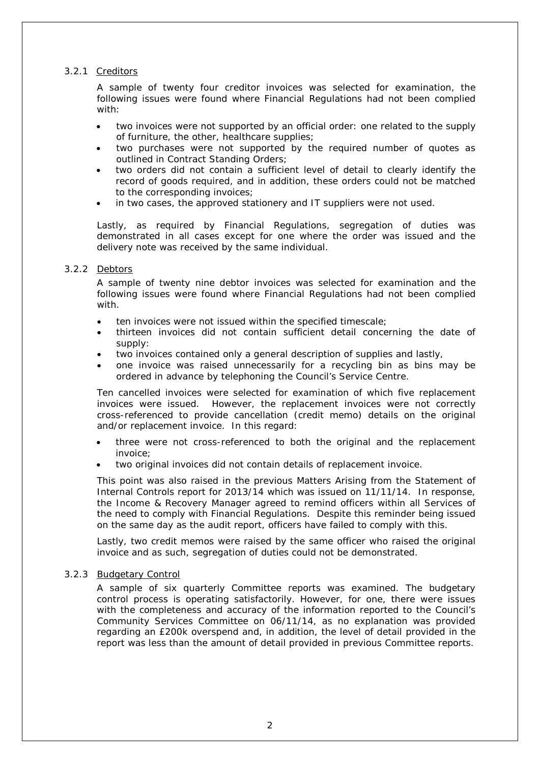#### 3.2.1 Creditors

A sample of twenty four creditor invoices was selected for examination, the following issues were found where Financial Regulations had not been complied with:

- two invoices were not supported by an official order: one related to the supply of furniture, the other, healthcare supplies;
- two purchases were not supported by the required number of quotes as outlined in Contract Standing Orders;
- two orders did not contain a sufficient level of detail to clearly identify the record of goods required, and in addition, these orders could not be matched to the corresponding invoices;
- in two cases, the approved stationery and IT suppliers were not used.

Lastly, as required by Financial Regulations, segregation of duties was demonstrated in all cases except for one where the order was issued and the delivery note was received by the same individual.

#### 3.2.2 Debtors

A sample of twenty nine debtor invoices was selected for examination and the following issues were found where Financial Regulations had not been complied with

- ten invoices were not issued within the specified timescale;
- thirteen invoices did not contain sufficient detail concerning the date of supply:
- two invoices contained only a general description of supplies and lastly,
- one invoice was raised unnecessarily for a recycling bin as bins may be ordered in advance by telephoning the Council's Service Centre.

Ten cancelled invoices were selected for examination of which five replacement invoices were issued. However, the replacement invoices were not correctly cross-referenced to provide cancellation (credit memo) details on the original and/or replacement invoice. In this regard:

- three were not cross-referenced to both the original and the replacement invoice;
- two original invoices did not contain details of replacement invoice.

This point was also raised in the previous Matters Arising from the Statement of Internal Controls report for 2013/14 which was issued on 11/11/14. In response, the Income & Recovery Manager agreed to remind officers within all Services of the need to comply with Financial Regulations. Despite this reminder being issued on the same day as the audit report, officers have failed to comply with this.

Lastly, two credit memos were raised by the same officer who raised the original invoice and as such, segregation of duties could not be demonstrated.

#### 3.2.3 Budgetary Control

A sample of six quarterly Committee reports was examined. The budgetary control process is operating satisfactorily. However, for one, there were issues with the completeness and accuracy of the information reported to the Council's Community Services Committee on 06/11/14, as no explanation was provided regarding an £200k overspend and, in addition, the level of detail provided in the report was less than the amount of detail provided in previous Committee reports.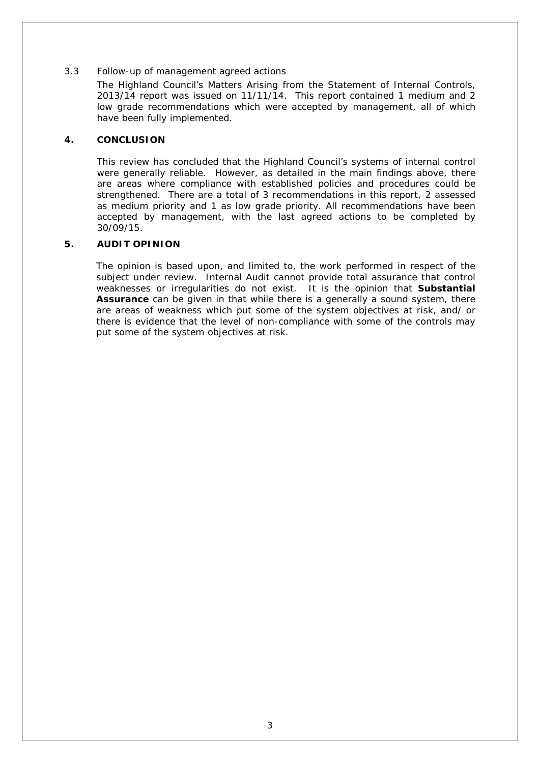#### 3.3 Follow-up of management agreed actions

The Highland Council's Matters Arising from the Statement of Internal Controls, 2013/14 report was issued on 11/11/14. This report contained 1 medium and 2 low grade recommendations which were accepted by management, all of which have been fully implemented.

#### **4. CONCLUSION**

This review has concluded that the Highland Council's systems of internal control were generally reliable. However, as detailed in the main findings above, there are areas where compliance with established policies and procedures could be strengthened. There are a total of 3 recommendations in this report, 2 assessed as medium priority and 1 as low grade priority. All recommendations have been accepted by management, with the last agreed actions to be completed by 30/09/15.

#### **5. AUDIT OPINION**

The opinion is based upon, and limited to, the work performed in respect of the subject under review. Internal Audit cannot provide total assurance that control weaknesses or irregularities do not exist. It is the opinion that **Substantial Assurance** can be given in that while there is a generally a sound system, there are areas of weakness which put some of the system objectives at risk, and/ or there is evidence that the level of non-compliance with some of the controls may put some of the system objectives at risk.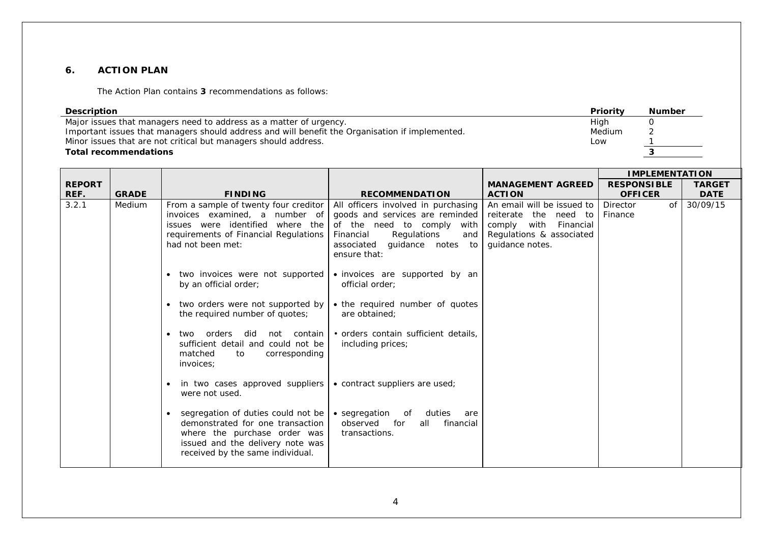#### **6. ACTION PLAN**

The Action Plan contains **3** recommendations as follows:

| <b>Number</b><br><b>Priority</b><br><b>Description</b><br>Major issues that managers need to address as a matter of urgency.<br>High<br>0<br>Important issues that managers should address and will benefit the Organisation if implemented.<br>Medium<br>2<br>Minor issues that are not critical but managers should address.<br>Low<br>3<br><b>Total recommendations</b> |              |                                                                                                                                                                                                                                                                                                                                                                                                                                                                                                                                                                                                                                                                              |                                                                                                                                                                                                                                                                                                                                                                                                                                                                                                       |                                                                                                                                |                                                              |             |
|----------------------------------------------------------------------------------------------------------------------------------------------------------------------------------------------------------------------------------------------------------------------------------------------------------------------------------------------------------------------------|--------------|------------------------------------------------------------------------------------------------------------------------------------------------------------------------------------------------------------------------------------------------------------------------------------------------------------------------------------------------------------------------------------------------------------------------------------------------------------------------------------------------------------------------------------------------------------------------------------------------------------------------------------------------------------------------------|-------------------------------------------------------------------------------------------------------------------------------------------------------------------------------------------------------------------------------------------------------------------------------------------------------------------------------------------------------------------------------------------------------------------------------------------------------------------------------------------------------|--------------------------------------------------------------------------------------------------------------------------------|--------------------------------------------------------------|-------------|
| <b>REPORT</b>                                                                                                                                                                                                                                                                                                                                                              |              |                                                                                                                                                                                                                                                                                                                                                                                                                                                                                                                                                                                                                                                                              |                                                                                                                                                                                                                                                                                                                                                                                                                                                                                                       | <b>MANAGEMENT AGREED</b>                                                                                                       | <b>IMPLEMENTATION</b><br><b>RESPONSIBLE</b><br><b>TARGET</b> |             |
| REF.                                                                                                                                                                                                                                                                                                                                                                       | <b>GRADE</b> | <b>FINDING</b>                                                                                                                                                                                                                                                                                                                                                                                                                                                                                                                                                                                                                                                               | <b>RECOMMENDATION</b>                                                                                                                                                                                                                                                                                                                                                                                                                                                                                 | <b>ACTION</b>                                                                                                                  | <b>OFFICER</b>                                               | <b>DATE</b> |
| 3.2.1                                                                                                                                                                                                                                                                                                                                                                      | Medium       | From a sample of twenty four creditor<br>invoices examined, a number of<br>issues were identified where the<br>requirements of Financial Regulations<br>had not been met:<br>• two invoices were not supported<br>by an official order;<br>• two orders were not supported by<br>the required number of quotes;<br>two orders did<br>not contain<br>sufficient detail and could not be<br>matched<br>corresponding<br>to<br>invoices;<br>in two cases approved suppliers<br>were not used.<br>segregation of duties could not be<br>demonstrated for one transaction<br>where the purchase order was<br>issued and the delivery note was<br>received by the same individual. | All officers involved in purchasing<br>goods and services are reminded<br>of the need to comply<br>with<br>Regulations<br>Financial<br>and<br>guidance notes to<br>associated<br>ensure that:<br>• invoices are supported by an<br>official order;<br>• the required number of quotes<br>are obtained:<br>· orders contain sufficient details,<br>including prices;<br>• contract suppliers are used;<br>• segregation<br>duties<br>of<br>are<br>observed<br>for<br>financial<br>all<br>transactions. | An email will be issued to<br>reiterate the need to<br>comply<br>with Financial<br>Regulations & associated<br>guidance notes. | Director<br>of<br>Finance                                    | 30/09/15    |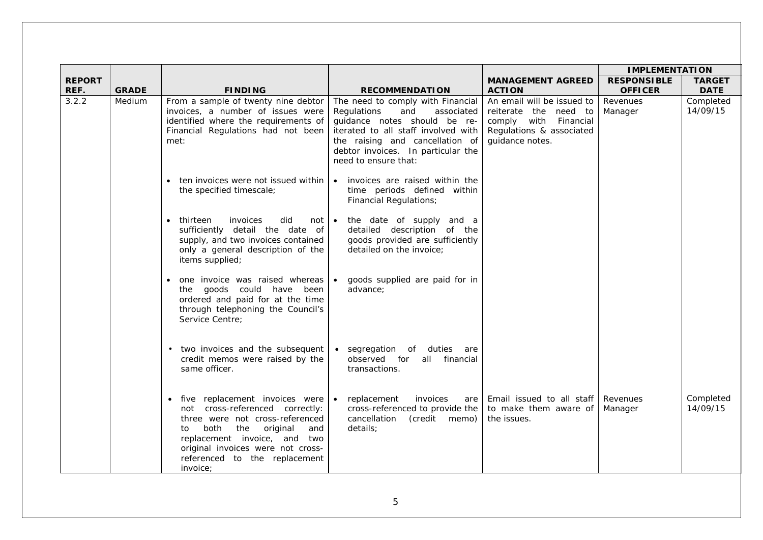|               |              |                                                                                                                                                                                                                                                                |                                                                                                                                                                                                                                               |                                                                                                                             | <b>IMPLEMENTATION</b> |                       |
|---------------|--------------|----------------------------------------------------------------------------------------------------------------------------------------------------------------------------------------------------------------------------------------------------------------|-----------------------------------------------------------------------------------------------------------------------------------------------------------------------------------------------------------------------------------------------|-----------------------------------------------------------------------------------------------------------------------------|-----------------------|-----------------------|
| <b>REPORT</b> |              |                                                                                                                                                                                                                                                                |                                                                                                                                                                                                                                               | <b>MANAGEMENT AGREED</b>                                                                                                    | <b>RESPONSIBLE</b>    | <b>TARGET</b>         |
| REF.          | <b>GRADE</b> | <b>FINDING</b>                                                                                                                                                                                                                                                 | <b>RECOMMENDATION</b>                                                                                                                                                                                                                         | <b>ACTION</b>                                                                                                               | <b>OFFICER</b>        | <b>DATE</b>           |
| 3.2.2         | Medium       | From a sample of twenty nine debtor<br>invoices, a number of issues were<br>identified where the requirements of<br>Financial Regulations had not been<br>met:                                                                                                 | The need to comply with Financial<br>Regulations<br>and<br>associated<br>quidance notes should be re-<br>iterated to all staff involved with<br>the raising and cancellation of<br>debtor invoices. In particular the<br>need to ensure that: | An email will be issued to<br>reiterate the need to<br>comply with Financial<br>Regulations & associated<br>guidance notes. | Revenues<br>Manager   | Completed<br>14/09/15 |
|               |              | ten invoices were not issued within<br>the specified timescale;                                                                                                                                                                                                | invoices are raised within the<br>$\bullet$<br>time periods defined within<br><b>Financial Regulations;</b>                                                                                                                                   |                                                                                                                             |                       |                       |
|               |              | thirteen<br>invoices<br>did<br>not l<br>sufficiently detail the date of<br>supply, and two invoices contained<br>only a general description of the<br>items supplied;                                                                                          | • the date of supply and a<br>detailed description of the<br>goods provided are sufficiently<br>detailed on the invoice:                                                                                                                      |                                                                                                                             |                       |                       |
|               |              | one invoice was raised whereas<br>goods could have been<br>the<br>ordered and paid for at the time<br>through telephoning the Council's<br>Service Centre:                                                                                                     | goods supplied are paid for in<br>$\bullet$<br>advance;                                                                                                                                                                                       |                                                                                                                             |                       |                       |
|               |              | two invoices and the subsequent<br>credit memos were raised by the<br>same officer.                                                                                                                                                                            | • segregation of duties are<br>observed for<br>all financial<br>transactions.                                                                                                                                                                 |                                                                                                                             |                       |                       |
|               |              | five replacement invoices were<br>not cross-referenced correctly:<br>three were not cross-referenced<br>both<br>the<br>original<br>and<br>to<br>replacement invoice, and two<br>original invoices were not cross-<br>referenced to the replacement<br>invoice; | replacement<br>invoices<br>$\bullet$<br>are<br>cross-referenced to provide the<br>cancellation<br>(credit memo)<br>details;                                                                                                                   | Email issued to all staff<br>to make them aware of<br>the issues.                                                           | Revenues<br>Manager   | Completed<br>14/09/15 |